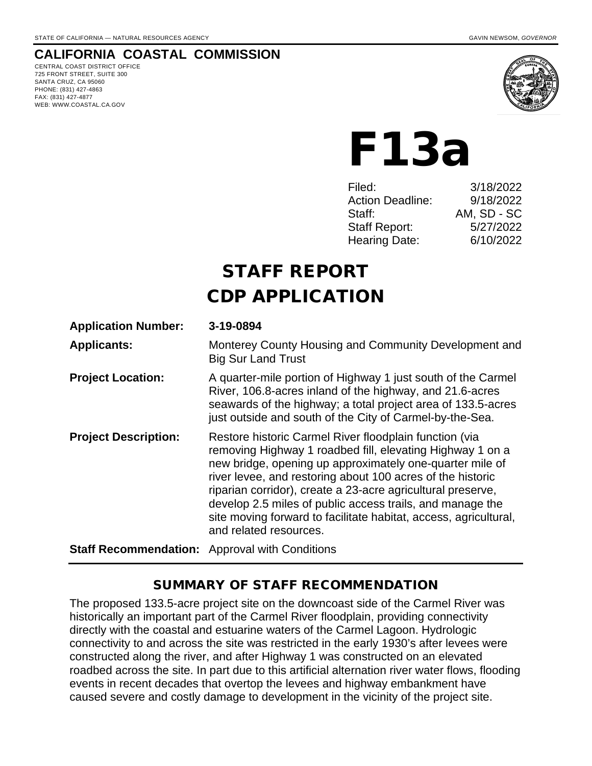# **CALIFORNIA COASTAL COMMISSION**

CENTRAL COAST DISTRICT OFFICE 725 FRONT STREET, SUITE 300 SANTA CRUZ, CA 95060 PHONE: (831) 427-4863 FAX: (831) 427-4877 WEB: WWW.COASTAL.CA.GOV



F13a

| Filed:                  | 3/18/2022   |
|-------------------------|-------------|
| <b>Action Deadline:</b> | 9/18/2022   |
| Staff:                  | AM, SD - SC |
| <b>Staff Report:</b>    | 5/27/2022   |
| Hearing Date:           | 6/10/2022   |
|                         |             |

# STAFF REPORT CDP APPLICATION

| <b>Application Number:</b>                            | 3-19-0894                                                                                                                                                                                                                                                                                                                                                                                                                                                               |  |  |
|-------------------------------------------------------|-------------------------------------------------------------------------------------------------------------------------------------------------------------------------------------------------------------------------------------------------------------------------------------------------------------------------------------------------------------------------------------------------------------------------------------------------------------------------|--|--|
| <b>Applicants:</b>                                    | Monterey County Housing and Community Development and<br><b>Big Sur Land Trust</b>                                                                                                                                                                                                                                                                                                                                                                                      |  |  |
| <b>Project Location:</b>                              | A quarter-mile portion of Highway 1 just south of the Carmel<br>River, 106.8-acres inland of the highway, and 21.6-acres<br>seawards of the highway; a total project area of 133.5-acres<br>just outside and south of the City of Carmel-by-the-Sea.                                                                                                                                                                                                                    |  |  |
| <b>Project Description:</b>                           | Restore historic Carmel River floodplain function (via<br>removing Highway 1 roadbed fill, elevating Highway 1 on a<br>new bridge, opening up approximately one-quarter mile of<br>river levee, and restoring about 100 acres of the historic<br>riparian corridor), create a 23-acre agricultural preserve,<br>develop 2.5 miles of public access trails, and manage the<br>site moving forward to facilitate habitat, access, agricultural,<br>and related resources. |  |  |
| <b>Staff Recommendation:</b> Approval with Conditions |                                                                                                                                                                                                                                                                                                                                                                                                                                                                         |  |  |

# SUMMARY OF STAFF RECOMMENDATION

The proposed 133.5-acre project site on the downcoast side of the Carmel River was historically an important part of the Carmel River floodplain, providing connectivity directly with the coastal and estuarine waters of the Carmel Lagoon. Hydrologic connectivity to and across the site was restricted in the early 1930's after levees were constructed along the river, and after Highway 1 was constructed on an elevated roadbed across the site. In part due to this artificial alternation river water flows, flooding events in recent decades that overtop the levees and highway embankment have caused severe and costly damage to development in the vicinity of the project site.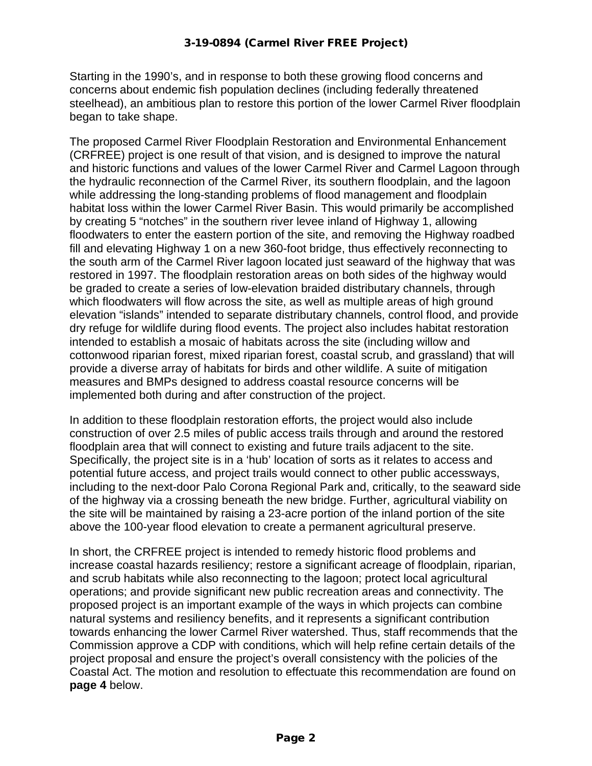Starting in the 1990's, and in response to both these growing flood concerns and concerns about endemic fish population declines (including federally threatened steelhead), an ambitious plan to restore this portion of the lower Carmel River floodplain began to take shape.

The proposed Carmel River Floodplain Restoration and Environmental Enhancement (CRFREE) project is one result of that vision, and is designed to improve the natural and historic functions and values of the lower Carmel River and Carmel Lagoon through the hydraulic reconnection of the Carmel River, its southern floodplain, and the lagoon while addressing the long-standing problems of flood management and floodplain habitat loss within the lower Carmel River Basin. This would primarily be accomplished by creating 5 "notches" in the southern river levee inland of Highway 1, allowing floodwaters to enter the eastern portion of the site, and removing the Highway roadbed fill and elevating Highway 1 on a new 360-foot bridge, thus effectively reconnecting to the south arm of the Carmel River lagoon located just seaward of the highway that was restored in 1997. The floodplain restoration areas on both sides of the highway would be graded to create a series of low-elevation braided distributary channels, through which floodwaters will flow across the site, as well as multiple areas of high ground elevation "islands" intended to separate distributary channels, control flood, and provide dry refuge for wildlife during flood events. The project also includes habitat restoration intended to establish a mosaic of habitats across the site (including willow and cottonwood riparian forest, mixed riparian forest, coastal scrub, and grassland) that will provide a diverse array of habitats for birds and other wildlife. A suite of mitigation measures and BMPs designed to address coastal resource concerns will be implemented both during and after construction of the project.

In addition to these floodplain restoration efforts, the project would also include construction of over 2.5 miles of public access trails through and around the restored floodplain area that will connect to existing and future trails adjacent to the site. Specifically, the project site is in a 'hub' location of sorts as it relates to access and potential future access, and project trails would connect to other public accessways, including to the next-door Palo Corona Regional Park and, critically, to the seaward side of the highway via a crossing beneath the new bridge. Further, agricultural viability on the site will be maintained by raising a 23-acre portion of the inland portion of the site above the 100-year flood elevation to create a permanent agricultural preserve.

In short, the CRFREE project is intended to remedy historic flood problems and increase coastal hazards resiliency; restore a significant acreage of floodplain, riparian, and scrub habitats while also reconnecting to the lagoon; protect local agricultural operations; and provide significant new public recreation areas and connectivity. The proposed project is an important example of the ways in which projects can combine natural systems and resiliency benefits, and it represents a significant contribution towards enhancing the lower Carmel River watershed. Thus, staff recommends that the Commission approve a CDP with conditions, which will help refine certain details of the project proposal and ensure the project's overall consistency with the policies of the Coastal Act. The motion and resolution to effectuate this recommendation are found on **page 4** below.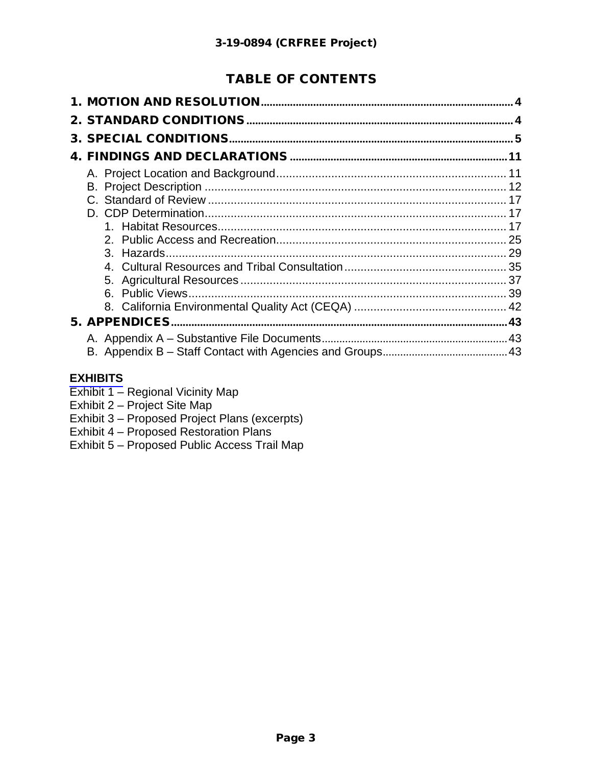# TABLE OF CONTENTS

# **[EXHIBITS](https://documents.coastal.ca.gov/reports/2022/6/F13a/F13a-6-2022-exhibits.pdf)**

- Exhibit 1 Regional Vicinity Map
- Exhibit 2 Project Site Map
- Exhibit 3 Proposed Project Plans (excerpts)
- Exhibit 4 Proposed Restoration Plans
- Exhibit 5 Proposed Public Access Trail Map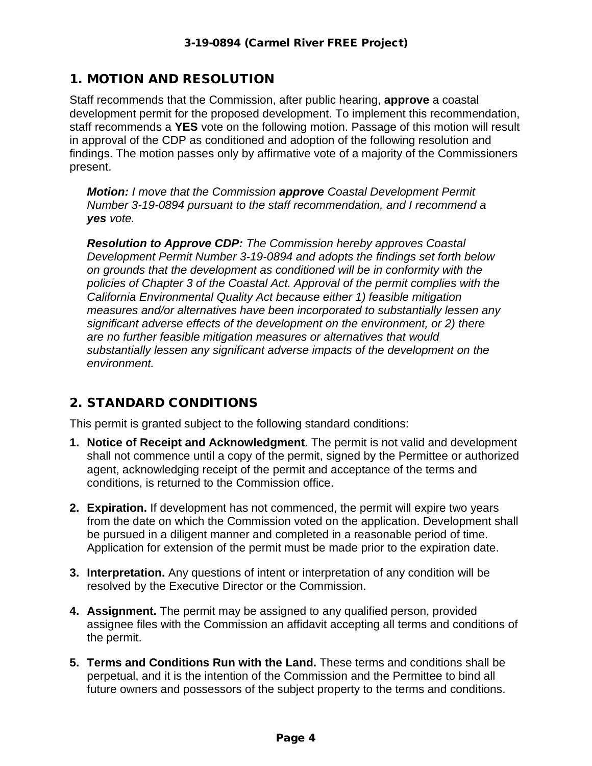# 1. MOTION AND RESOLUTION

Staff recommends that the Commission, after public hearing, **approve** a coastal development permit for the proposed development. To implement this recommendation, staff recommends a **YES** vote on the following motion. Passage of this motion will result in approval of the CDP as conditioned and adoption of the following resolution and findings. The motion passes only by affirmative vote of a majority of the Commissioners present.

*Motion: I move that the Commission approve Coastal Development Permit Number 3-19-0894 pursuant to the staff recommendation, and I recommend a yes vote.* 

*Resolution to Approve CDP: The Commission hereby approves Coastal Development Permit Number 3-19-0894 and adopts the findings set forth below on grounds that the development as conditioned will be in conformity with the policies of Chapter 3 of the Coastal Act. Approval of the permit complies with the California Environmental Quality Act because either 1) feasible mitigation measures and/or alternatives have been incorporated to substantially lessen any significant adverse effects of the development on the environment, or 2) there are no further feasible mitigation measures or alternatives that would substantially lessen any significant adverse impacts of the development on the environment.*

# 2. STANDARD CONDITIONS

This permit is granted subject to the following standard conditions:

- **1. Notice of Receipt and Acknowledgment**. The permit is not valid and development shall not commence until a copy of the permit, signed by the Permittee or authorized agent, acknowledging receipt of the permit and acceptance of the terms and conditions, is returned to the Commission office.
- **2. Expiration.** If development has not commenced, the permit will expire two years from the date on which the Commission voted on the application. Development shall be pursued in a diligent manner and completed in a reasonable period of time. Application for extension of the permit must be made prior to the expiration date.
- **3. Interpretation.** Any questions of intent or interpretation of any condition will be resolved by the Executive Director or the Commission.
- **4. Assignment.** The permit may be assigned to any qualified person, provided assignee files with the Commission an affidavit accepting all terms and conditions of the permit.
- **5. Terms and Conditions Run with the Land.** These terms and conditions shall be perpetual, and it is the intention of the Commission and the Permittee to bind all future owners and possessors of the subject property to the terms and conditions.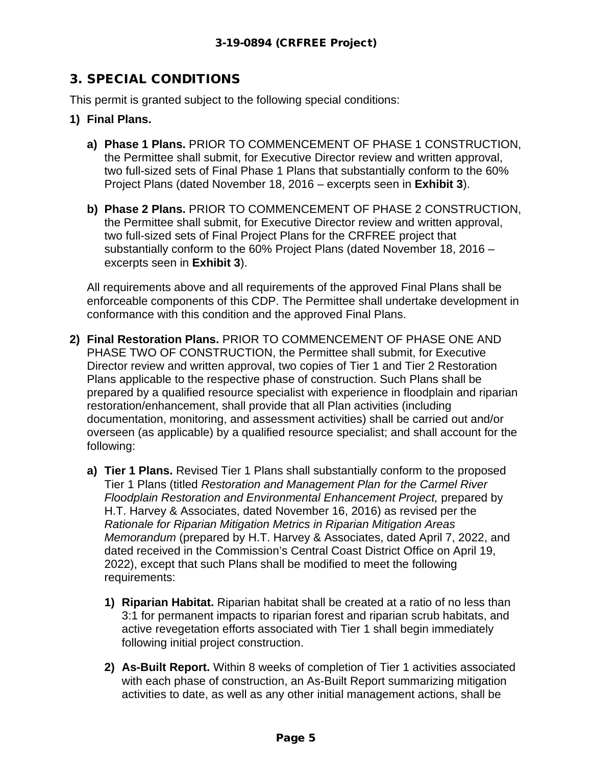# 3. SPECIAL CONDITIONS

This permit is granted subject to the following special conditions:

- **1) Final Plans.** 
	- **a) Phase 1 Plans.** PRIOR TO COMMENCEMENT OF PHASE 1 CONSTRUCTION, the Permittee shall submit, for Executive Director review and written approval, two full-sized sets of Final Phase 1 Plans that substantially conform to the 60% Project Plans (dated November 18, 2016 – excerpts seen in **Exhibit 3**).
	- **b) Phase 2 Plans.** PRIOR TO COMMENCEMENT OF PHASE 2 CONSTRUCTION, the Permittee shall submit, for Executive Director review and written approval, two full-sized sets of Final Project Plans for the CRFREE project that substantially conform to the 60% Project Plans (dated November 18, 2016 – excerpts seen in **Exhibit 3**).

All requirements above and all requirements of the approved Final Plans shall be enforceable components of this CDP. The Permittee shall undertake development in conformance with this condition and the approved Final Plans.

- **2) Final Restoration Plans.** PRIOR TO COMMENCEMENT OF PHASE ONE AND PHASE TWO OF CONSTRUCTION, the Permittee shall submit, for Executive Director review and written approval, two copies of Tier 1 and Tier 2 Restoration Plans applicable to the respective phase of construction. Such Plans shall be prepared by a qualified resource specialist with experience in floodplain and riparian restoration/enhancement, shall provide that all Plan activities (including documentation, monitoring, and assessment activities) shall be carried out and/or overseen (as applicable) by a qualified resource specialist; and shall account for the following:
	- **a) Tier 1 Plans.** Revised Tier 1 Plans shall substantially conform to the proposed Tier 1 Plans (titled *Restoration and Management Plan for the Carmel River Floodplain Restoration and Environmental Enhancement Project,* prepared by H.T. Harvey & Associates, dated November 16, 2016) as revised per the *Rationale for Riparian Mitigation Metrics in Riparian Mitigation Areas Memorandum* (prepared by H.T. Harvey & Associates, dated April 7, 2022, and dated received in the Commission's Central Coast District Office on April 19, 2022), except that such Plans shall be modified to meet the following requirements:
		- **1) Riparian Habitat.** Riparian habitat shall be created at a ratio of no less than 3:1 for permanent impacts to riparian forest and riparian scrub habitats, and active revegetation efforts associated with Tier 1 shall begin immediately following initial project construction.
		- **2) As-Built Report.** Within 8 weeks of completion of Tier 1 activities associated with each phase of construction, an As-Built Report summarizing mitigation activities to date, as well as any other initial management actions, shall be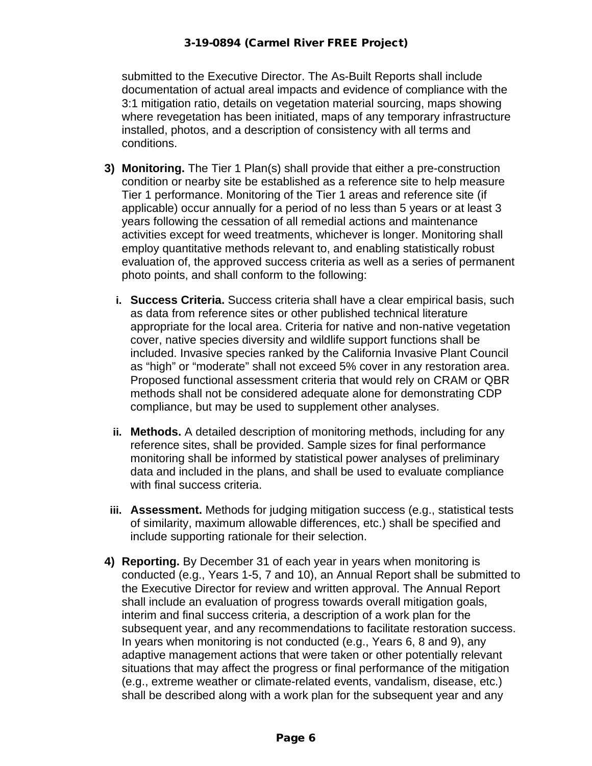#### 3-19-0894 (Carmel River FREE Project)

submitted to the Executive Director. The As-Built Reports shall include documentation of actual areal impacts and evidence of compliance with the 3:1 mitigation ratio, details on vegetation material sourcing, maps showing where revegetation has been initiated, maps of any temporary infrastructure installed, photos, and a description of consistency with all terms and conditions.

- **3) Monitoring.** The Tier 1 Plan(s) shall provide that either a pre-construction condition or nearby site be established as a reference site to help measure Tier 1 performance. Monitoring of the Tier 1 areas and reference site (if applicable) occur annually for a period of no less than 5 years or at least 3 years following the cessation of all remedial actions and maintenance activities except for weed treatments, whichever is longer. Monitoring shall employ quantitative methods relevant to, and enabling statistically robust evaluation of, the approved success criteria as well as a series of permanent photo points, and shall conform to the following:
	- **i. Success Criteria.** Success criteria shall have a clear empirical basis, such as data from reference sites or other published technical literature appropriate for the local area. Criteria for native and non-native vegetation cover, native species diversity and wildlife support functions shall be included. Invasive species ranked by the California Invasive Plant Council as "high" or "moderate" shall not exceed 5% cover in any restoration area. Proposed functional assessment criteria that would rely on CRAM or QBR methods shall not be considered adequate alone for demonstrating CDP compliance, but may be used to supplement other analyses.
	- **ii. Methods.** A detailed description of monitoring methods, including for any reference sites, shall be provided. Sample sizes for final performance monitoring shall be informed by statistical power analyses of preliminary data and included in the plans, and shall be used to evaluate compliance with final success criteria.
- **iii. Assessment.** Methods for judging mitigation success (e.g., statistical tests of similarity, maximum allowable differences, etc.) shall be specified and include supporting rationale for their selection.
- **4) Reporting.** By December 31 of each year in years when monitoring is conducted (e.g., Years 1-5, 7 and 10), an Annual Report shall be submitted to the Executive Director for review and written approval. The Annual Report shall include an evaluation of progress towards overall mitigation goals, interim and final success criteria, a description of a work plan for the subsequent year, and any recommendations to facilitate restoration success. In years when monitoring is not conducted (e.g., Years 6, 8 and 9), any adaptive management actions that were taken or other potentially relevant situations that may affect the progress or final performance of the mitigation (e.g., extreme weather or climate-related events, vandalism, disease, etc.) shall be described along with a work plan for the subsequent year and any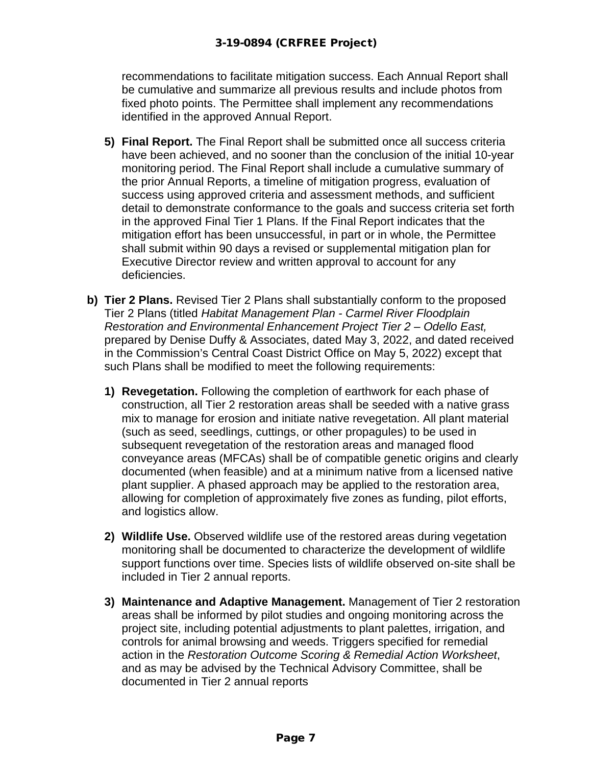recommendations to facilitate mitigation success. Each Annual Report shall be cumulative and summarize all previous results and include photos from fixed photo points. The Permittee shall implement any recommendations identified in the approved Annual Report.

- **5) Final Report.** The Final Report shall be submitted once all success criteria have been achieved, and no sooner than the conclusion of the initial 10-year monitoring period. The Final Report shall include a cumulative summary of the prior Annual Reports, a timeline of mitigation progress, evaluation of success using approved criteria and assessment methods, and sufficient detail to demonstrate conformance to the goals and success criteria set forth in the approved Final Tier 1 Plans. If the Final Report indicates that the mitigation effort has been unsuccessful, in part or in whole, the Permittee shall submit within 90 days a revised or supplemental mitigation plan for Executive Director review and written approval to account for any deficiencies.
- **b) Tier 2 Plans.** Revised Tier 2 Plans shall substantially conform to the proposed Tier 2 Plans (titled *Habitat Management Plan - Carmel River Floodplain Restoration and Environmental Enhancement Project Tier 2 – Odello East,* prepared by Denise Duffy & Associates, dated May 3, 2022, and dated received in the Commission's Central Coast District Office on May 5, 2022) except that such Plans shall be modified to meet the following requirements:
	- **1) Revegetation.** Following the completion of earthwork for each phase of construction, all Tier 2 restoration areas shall be seeded with a native grass mix to manage for erosion and initiate native revegetation. All plant material (such as seed, seedlings, cuttings, or other propagules) to be used in subsequent revegetation of the restoration areas and managed flood conveyance areas (MFCAs) shall be of compatible genetic origins and clearly documented (when feasible) and at a minimum native from a licensed native plant supplier. A phased approach may be applied to the restoration area, allowing for completion of approximately five zones as funding, pilot efforts, and logistics allow.
	- **2) Wildlife Use.** Observed wildlife use of the restored areas during vegetation monitoring shall be documented to characterize the development of wildlife support functions over time. Species lists of wildlife observed on-site shall be included in Tier 2 annual reports.
	- **3) Maintenance and Adaptive Management.** Management of Tier 2 restoration areas shall be informed by pilot studies and ongoing monitoring across the project site, including potential adjustments to plant palettes, irrigation, and controls for animal browsing and weeds. Triggers specified for remedial action in the *Restoration Outcome Scoring & Remedial Action Worksheet*, and as may be advised by the Technical Advisory Committee, shall be documented in Tier 2 annual reports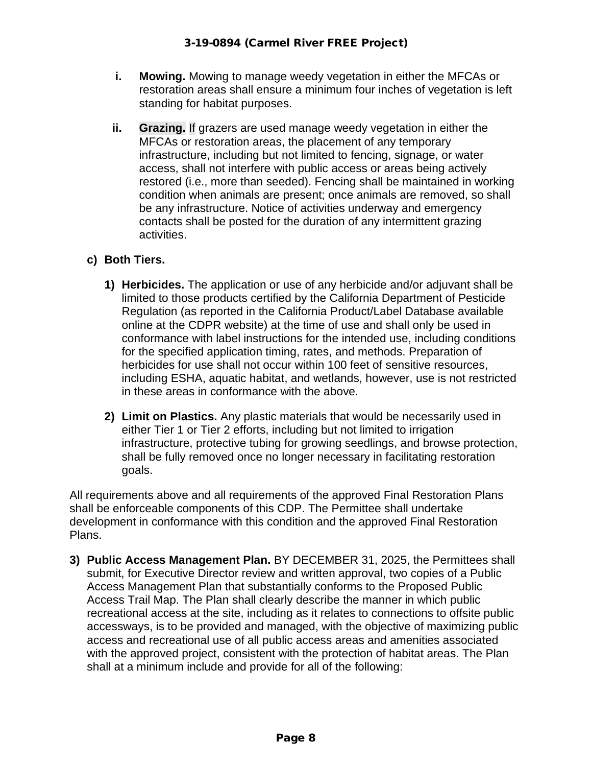- **i. Mowing.** Mowing to manage weedy vegetation in either the MFCAs or restoration areas shall ensure a minimum four inches of vegetation is left standing for habitat purposes.
- **ii. Grazing.** If grazers are used manage weedy vegetation in either the MFCAs or restoration areas, the placement of any temporary infrastructure, including but not limited to fencing, signage, or water access, shall not interfere with public access or areas being actively restored (i.e., more than seeded). Fencing shall be maintained in working condition when animals are present; once animals are removed, so shall be any infrastructure. Notice of activities underway and emergency contacts shall be posted for the duration of any intermittent grazing activities.

# **c) Both Tiers.**

- **1) Herbicides.** The application or use of any herbicide and/or adjuvant shall be limited to those products certified by the California Department of Pesticide Regulation (as reported in the California Product/Label Database available online at the CDPR website) at the time of use and shall only be used in conformance with label instructions for the intended use, including conditions for the specified application timing, rates, and methods. Preparation of herbicides for use shall not occur within 100 feet of sensitive resources, including ESHA, aquatic habitat, and wetlands, however, use is not restricted in these areas in conformance with the above.
- **2) Limit on Plastics.** Any plastic materials that would be necessarily used in either Tier 1 or Tier 2 efforts, including but not limited to irrigation infrastructure, protective tubing for growing seedlings, and browse protection, shall be fully removed once no longer necessary in facilitating restoration goals.

All requirements above and all requirements of the approved Final Restoration Plans shall be enforceable components of this CDP. The Permittee shall undertake development in conformance with this condition and the approved Final Restoration Plans.

**3) Public Access Management Plan.** BY DECEMBER 31, 2025, the Permittees shall submit, for Executive Director review and written approval, two copies of a Public Access Management Plan that substantially conforms to the Proposed Public Access Trail Map. The Plan shall clearly describe the manner in which public recreational access at the site, including as it relates to connections to offsite public accessways, is to be provided and managed, with the objective of maximizing public access and recreational use of all public access areas and amenities associated with the approved project, consistent with the protection of habitat areas. The Plan shall at a minimum include and provide for all of the following: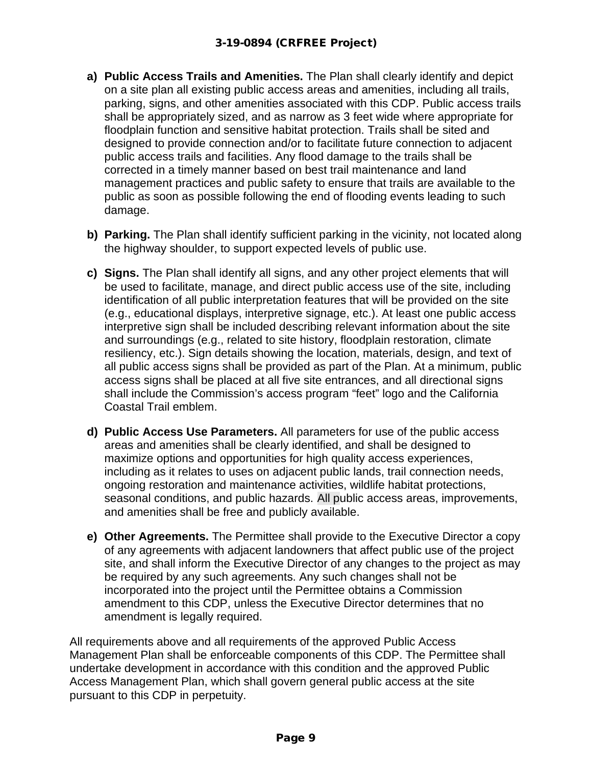- **a) Public Access Trails and Amenities.** The Plan shall clearly identify and depict on a site plan all existing public access areas and amenities, including all trails, parking, signs, and other amenities associated with this CDP. Public access trails shall be appropriately sized, and as narrow as 3 feet wide where appropriate for floodplain function and sensitive habitat protection. Trails shall be sited and designed to provide connection and/or to facilitate future connection to adjacent public access trails and facilities. Any flood damage to the trails shall be corrected in a timely manner based on best trail maintenance and land management practices and public safety to ensure that trails are available to the public as soon as possible following the end of flooding events leading to such damage.
- **b) Parking.** The Plan shall identify sufficient parking in the vicinity, not located along the highway shoulder, to support expected levels of public use.
- **c) Signs.** The Plan shall identify all signs, and any other project elements that will be used to facilitate, manage, and direct public access use of the site, including identification of all public interpretation features that will be provided on the site (e.g., educational displays, interpretive signage, etc.). At least one public access interpretive sign shall be included describing relevant information about the site and surroundings (e.g., related to site history, floodplain restoration, climate resiliency, etc.). Sign details showing the location, materials, design, and text of all public access signs shall be provided as part of the Plan. At a minimum, public access signs shall be placed at all five site entrances, and all directional signs shall include the Commission's access program "feet" logo and the California Coastal Trail emblem.
- **d) Public Access Use Parameters.** All parameters for use of the public access areas and amenities shall be clearly identified, and shall be designed to maximize options and opportunities for high quality access experiences, including as it relates to uses on adjacent public lands, trail connection needs, ongoing restoration and maintenance activities, wildlife habitat protections, seasonal conditions, and public hazards. All public access areas, improvements, and amenities shall be free and publicly available.
- **e) Other Agreements.** The Permittee shall provide to the Executive Director a copy of any agreements with adjacent landowners that affect public use of the project site, and shall inform the Executive Director of any changes to the project as may be required by any such agreements. Any such changes shall not be incorporated into the project until the Permittee obtains a Commission amendment to this CDP, unless the Executive Director determines that no amendment is legally required.

All requirements above and all requirements of the approved Public Access Management Plan shall be enforceable components of this CDP. The Permittee shall undertake development in accordance with this condition and the approved Public Access Management Plan, which shall govern general public access at the site pursuant to this CDP in perpetuity.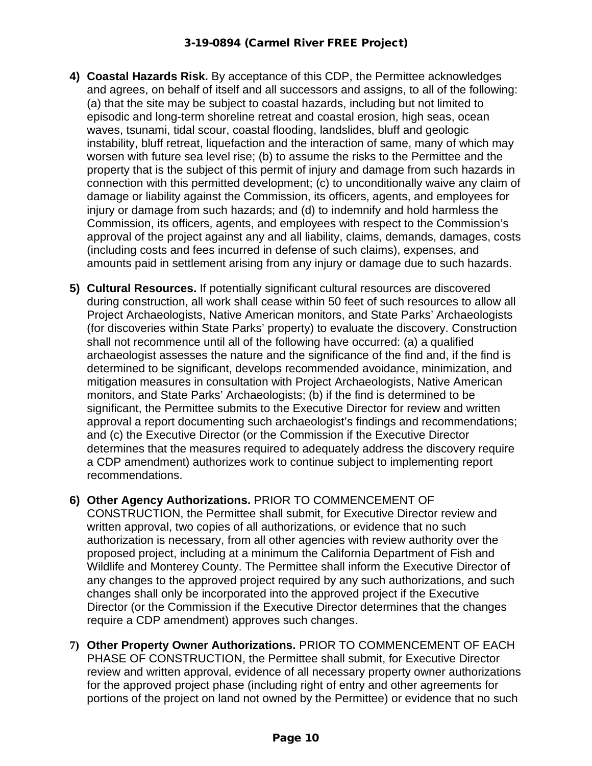- **4) Coastal Hazards Risk.** By acceptance of this CDP, the Permittee acknowledges and agrees, on behalf of itself and all successors and assigns, to all of the following: (a) that the site may be subject to coastal hazards, including but not limited to episodic and long-term shoreline retreat and coastal erosion, high seas, ocean waves, tsunami, tidal scour, coastal flooding, landslides, bluff and geologic instability, bluff retreat, liquefaction and the interaction of same, many of which may worsen with future sea level rise; (b) to assume the risks to the Permittee and the property that is the subject of this permit of injury and damage from such hazards in connection with this permitted development; (c) to unconditionally waive any claim of damage or liability against the Commission, its officers, agents, and employees for injury or damage from such hazards; and (d) to indemnify and hold harmless the Commission, its officers, agents, and employees with respect to the Commission's approval of the project against any and all liability, claims, demands, damages, costs (including costs and fees incurred in defense of such claims), expenses, and amounts paid in settlement arising from any injury or damage due to such hazards.
- **5) Cultural Resources.** If potentially significant cultural resources are discovered during construction, all work shall cease within 50 feet of such resources to allow all Project Archaeologists, Native American monitors, and State Parks' Archaeologists (for discoveries within State Parks' property) to evaluate the discovery. Construction shall not recommence until all of the following have occurred: (a) a qualified archaeologist assesses the nature and the significance of the find and, if the find is determined to be significant, develops recommended avoidance, minimization, and mitigation measures in consultation with Project Archaeologists, Native American monitors, and State Parks' Archaeologists; (b) if the find is determined to be significant, the Permittee submits to the Executive Director for review and written approval a report documenting such archaeologist's findings and recommendations; and (c) the Executive Director (or the Commission if the Executive Director determines that the measures required to adequately address the discovery require a CDP amendment) authorizes work to continue subject to implementing report recommendations.
- **6) Other Agency Authorizations.** PRIOR TO COMMENCEMENT OF CONSTRUCTION, the Permittee shall submit, for Executive Director review and written approval, two copies of all authorizations, or evidence that no such authorization is necessary, from all other agencies with review authority over the proposed project, including at a minimum the California Department of Fish and Wildlife and Monterey County. The Permittee shall inform the Executive Director of any changes to the approved project required by any such authorizations, and such changes shall only be incorporated into the approved project if the Executive Director (or the Commission if the Executive Director determines that the changes require a CDP amendment) approves such changes.
- **7) Other Property Owner Authorizations.** PRIOR TO COMMENCEMENT OF EACH PHASE OF CONSTRUCTION, the Permittee shall submit, for Executive Director review and written approval, evidence of all necessary property owner authorizations for the approved project phase (including right of entry and other agreements for portions of the project on land not owned by the Permittee) or evidence that no such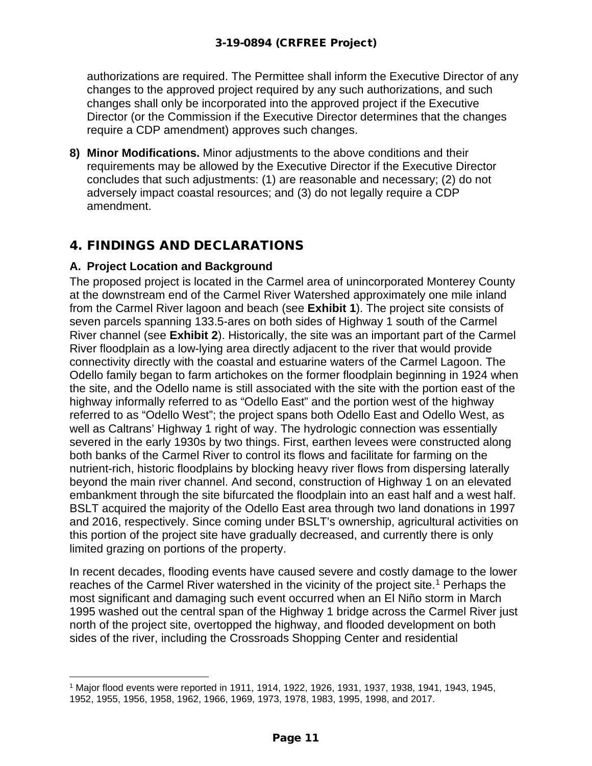authorizations are required. The Permittee shall inform the Executive Director of any changes to the approved project required by any such authorizations, and such changes shall only be incorporated into the approved project if the Executive Director (or the Commission if the Executive Director determines that the changes require a CDP amendment) approves such changes.

**8) Minor Modifications.** Minor adjustments to the above conditions and their requirements may be allowed by the Executive Director if the Executive Director concludes that such adjustments: (1) are reasonable and necessary; (2) do not adversely impact coastal resources; and (3) do not legally require a CDP amendment.

# 4. FINDINGS AND DECLARATIONS

# **A. Project Location and Background**

The proposed project is located in the Carmel area of unincorporated Monterey County at the downstream end of the Carmel River Watershed approximately one mile inland from the Carmel River lagoon and beach (see **Exhibit 1**). The project site consists of seven parcels spanning 133.5-ares on both sides of Highway 1 south of the Carmel River channel (see **Exhibit 2**). Historically, the site was an important part of the Carmel River floodplain as a low-lying area directly adjacent to the river that would provide connectivity directly with the coastal and estuarine waters of the Carmel Lagoon. The Odello family began to farm artichokes on the former floodplain beginning in 1924 when the site, and the Odello name is still associated with the site with the portion east of the highway informally referred to as "Odello East" and the portion west of the highway referred to as "Odello West"; the project spans both Odello East and Odello West, as well as Caltrans' Highway 1 right of way. The hydrologic connection was essentially severed in the early 1930s by two things. First, earthen levees were constructed along both banks of the Carmel River to control its flows and facilitate for farming on the nutrient-rich, historic floodplains by blocking heavy river flows from dispersing laterally beyond the main river channel. And second, construction of Highway 1 on an elevated embankment through the site bifurcated the floodplain into an east half and a west half. BSLT acquired the majority of the Odello East area through two land donations in 1997 and 2016, respectively. Since coming under BSLT's ownership, agricultural activities on this portion of the project site have gradually decreased, and currently there is only limited grazing on portions of the property.

In recent decades, flooding events have caused severe and costly damage to the lower reaches of the Carmel River watershed in the vicinity of the project site. [1](#page-10-0) Perhaps the most significant and damaging such event occurred when an El Niño storm in March 1995 washed out the central span of the Highway 1 bridge across the Carmel River just north of the project site, overtopped the highway, and flooded development on both sides of the river, including the Crossroads Shopping Center and residential

<span id="page-10-0"></span><sup>1</sup> Major flood events were reported in 1911, 1914, 1922, 1926, 1931, 1937, 1938, 1941, 1943, 1945,

<sup>1952, 1955, 1956, 1958, 1962, 1966, 1969, 1973, 1978, 1983, 1995, 1998,</sup> and 2017.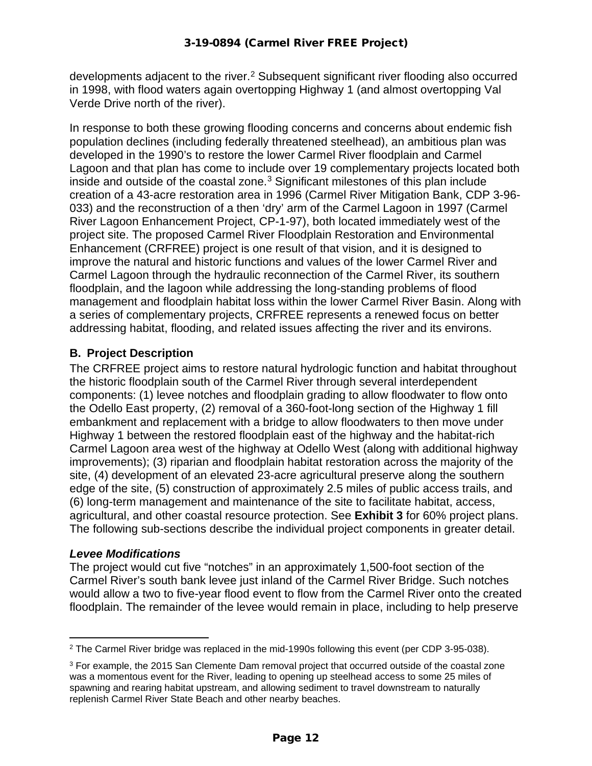developments adjacent to the river.<sup>[2](#page-11-0)</sup> Subsequent significant river flooding also occurred in 1998, with flood waters again overtopping Highway 1 (and almost overtopping Val Verde Drive north of the river).

In response to both these growing flooding concerns and concerns about endemic fish population declines (including federally threatened steelhead), an ambitious plan was developed in the 1990's to restore the lower Carmel River floodplain and Carmel Lagoon and that plan has come to include over 19 complementary projects located both inside and outside of the coastal zone. $3$  Significant milestones of this plan include creation of a 43-acre restoration area in 1996 (Carmel River Mitigation Bank, CDP 3-96- 033) and the reconstruction of a then 'dry' arm of the Carmel Lagoon in 1997 (Carmel River Lagoon Enhancement Project, CP-1-97), both located immediately west of the project site. The proposed Carmel River Floodplain Restoration and Environmental Enhancement (CRFREE) project is one result of that vision, and it is designed to improve the natural and historic functions and values of the lower Carmel River and Carmel Lagoon through the hydraulic reconnection of the Carmel River, its southern floodplain, and the lagoon while addressing the long-standing problems of flood management and floodplain habitat loss within the lower Carmel River Basin. Along with a series of complementary projects, CRFREE represents a renewed focus on better addressing habitat, flooding, and related issues affecting the river and its environs.

# **B. Project Description**

The CRFREE project aims to restore natural hydrologic function and habitat throughout the historic floodplain south of the Carmel River through several interdependent components: (1) levee notches and floodplain grading to allow floodwater to flow onto the Odello East property, (2) removal of a 360-foot-long section of the Highway 1 fill embankment and replacement with a bridge to allow floodwaters to then move under Highway 1 between the restored floodplain east of the highway and the habitat-rich Carmel Lagoon area west of the highway at Odello West (along with additional highway improvements); (3) riparian and floodplain habitat restoration across the majority of the site, (4) development of an elevated 23-acre agricultural preserve along the southern edge of the site, (5) construction of approximately 2.5 miles of public access trails, and (6) long-term management and maintenance of the site to facilitate habitat, access, agricultural, and other coastal resource protection. See **Exhibit 3** for 60% project plans. The following sub-sections describe the individual project components in greater detail.

#### *Levee Modifications*

The project would cut five "notches" in an approximately 1,500-foot section of the Carmel River's south bank levee just inland of the Carmel River Bridge. Such notches would allow a two to five-year flood event to flow from the Carmel River onto the created floodplain. The remainder of the levee would remain in place, including to help preserve

<span id="page-11-0"></span><sup>2</sup> The Carmel River bridge was replaced in the mid-1990s following this event (per CDP 3-95-038).

<span id="page-11-1"></span><sup>&</sup>lt;sup>3</sup> For example, the 2015 San Clemente Dam removal project that occurred outside of the coastal zone was a momentous event for the River, leading to opening up steelhead access to some 25 miles of spawning and rearing habitat upstream, and allowing sediment to travel downstream to naturally replenish Carmel River State Beach and other nearby beaches.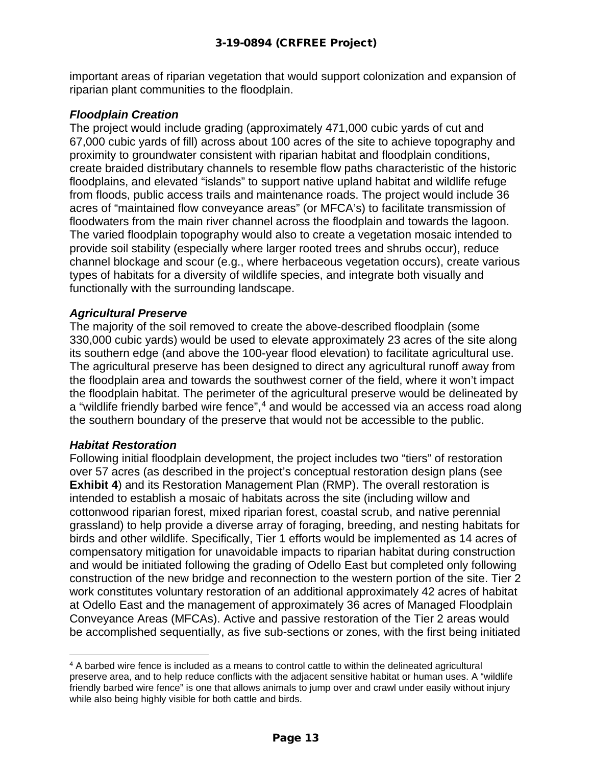important areas of riparian vegetation that would support colonization and expansion of riparian plant communities to the floodplain.

#### *Floodplain Creation*

The project would include grading (approximately 471,000 cubic yards of cut and 67,000 cubic yards of fill) across about 100 acres of the site to achieve topography and proximity to groundwater consistent with riparian habitat and floodplain conditions, create braided distributary channels to resemble flow paths characteristic of the historic floodplains, and elevated "islands" to support native upland habitat and wildlife refuge from floods, public access trails and maintenance roads. The project would include 36 acres of "maintained flow conveyance areas" (or MFCA's) to facilitate transmission of floodwaters from the main river channel across the floodplain and towards the lagoon. The varied floodplain topography would also to create a vegetation mosaic intended to provide soil stability (especially where larger rooted trees and shrubs occur), reduce channel blockage and scour (e.g., where herbaceous vegetation occurs), create various types of habitats for a diversity of wildlife species, and integrate both visually and functionally with the surrounding landscape.

#### *Agricultural Preserve*

The majority of the soil removed to create the above-described floodplain (some 330,000 cubic yards) would be used to elevate approximately 23 acres of the site along its southern edge (and above the 100-year flood elevation) to facilitate agricultural use. The agricultural preserve has been designed to direct any agricultural runoff away from the floodplain area and towards the southwest corner of the field, where it won't impact the floodplain habitat. The perimeter of the agricultural preserve would be delineated by a "wildlife friendly barbed wire fence",<sup>[4](#page-12-0)</sup> and would be accessed via an access road along the southern boundary of the preserve that would not be accessible to the public.

#### *Habitat Restoration*

Following initial floodplain development, the project includes two "tiers" of restoration over 57 acres (as described in the project's conceptual restoration design plans (see **Exhibit 4**) and its Restoration Management Plan (RMP). The overall restoration is intended to establish a mosaic of habitats across the site (including willow and cottonwood riparian forest, mixed riparian forest, coastal scrub, and native perennial grassland) to help provide a diverse array of foraging, breeding, and nesting habitats for birds and other wildlife. Specifically, Tier 1 efforts would be implemented as 14 acres of compensatory mitigation for unavoidable impacts to riparian habitat during construction and would be initiated following the grading of Odello East but completed only following construction of the new bridge and reconnection to the western portion of the site. Tier 2 work constitutes voluntary restoration of an additional approximately 42 acres of habitat at Odello East and the management of approximately 36 acres of Managed Floodplain Conveyance Areas (MFCAs). Active and passive restoration of the Tier 2 areas would be accomplished sequentially, as five sub-sections or zones, with the first being initiated

<span id="page-12-0"></span><sup>4</sup> A barbed wire fence is included as a means to control cattle to within the delineated agricultural preserve area, and to help reduce conflicts with the adjacent sensitive habitat or human uses. A "wildlife friendly barbed wire fence" is one that allows animals to jump over and crawl under easily without injury while also being highly visible for both cattle and birds.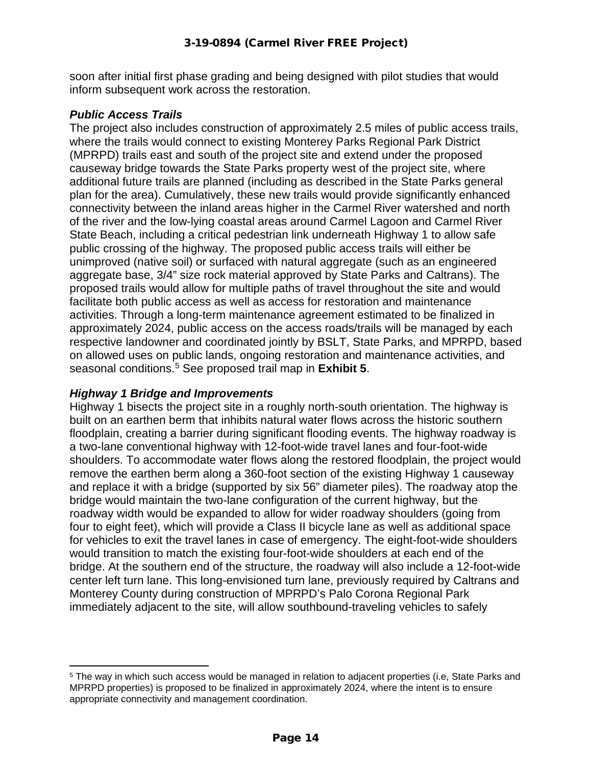soon after initial first phase grading and being designed with pilot studies that would inform subsequent work across the restoration.

#### *Public Access Trails*

The project also includes construction of approximately 2.5 miles of public access trails, where the trails would connect to existing Monterey Parks Regional Park District (MPRPD) trails east and south of the project site and extend under the proposed causeway bridge towards the State Parks property west of the project site, where additional future trails are planned (including as described in the State Parks general plan for the area). Cumulatively, these new trails would provide significantly enhanced connectivity between the inland areas higher in the Carmel River watershed and north of the river and the low-lying coastal areas around Carmel Lagoon and Carmel River State Beach, including a critical pedestrian link underneath Highway 1 to allow safe public crossing of the highway. The proposed public access trails will either be unimproved (native soil) or surfaced with natural aggregate (such as an engineered aggregate base, 3/4" size rock material approved by State Parks and Caltrans). The proposed trails would allow for multiple paths of travel throughout the site and would facilitate both public access as well as access for restoration and maintenance activities. Through a long-term maintenance agreement estimated to be finalized in approximately 2024, public access on the access roads/trails will be managed by each respective landowner and coordinated jointly by BSLT, State Parks, and MPRPD, based on allowed uses on public lands, ongoing restoration and maintenance activities, and seasonal conditions. [5](#page-13-0) See proposed trail map in **Exhibit 5**.

# *Highway 1 Bridge and Improvements*

Highway 1 bisects the project site in a roughly north-south orientation. The highway is built on an earthen berm that inhibits natural water flows across the historic southern floodplain, creating a barrier during significant flooding events. The highway roadway is a two-lane conventional highway with 12-foot-wide travel lanes and four-foot-wide shoulders. To accommodate water flows along the restored floodplain, the project would remove the earthen berm along a 360-foot section of the existing Highway 1 causeway and replace it with a bridge (supported by six 56" diameter piles). The roadway atop the bridge would maintain the two-lane configuration of the current highway, but the roadway width would be expanded to allow for wider roadway shoulders (going from four to eight feet), which will provide a Class II bicycle lane as well as additional space for vehicles to exit the travel lanes in case of emergency. The eight-foot-wide shoulders would transition to match the existing four-foot-wide shoulders at each end of the bridge. At the southern end of the structure, the roadway will also include a 12-foot-wide center left turn lane. This long-envisioned turn lane, previously required by Caltrans and Monterey County during construction of MPRPD's Palo Corona Regional Park immediately adjacent to the site, will allow southbound-traveling vehicles to safely

<span id="page-13-0"></span><sup>5</sup> The way in which such access would be managed in relation to adjacent properties (i.e, State Parks and MPRPD properties) is proposed to be finalized in approximately 2024, where the intent is to ensure appropriate connectivity and management coordination.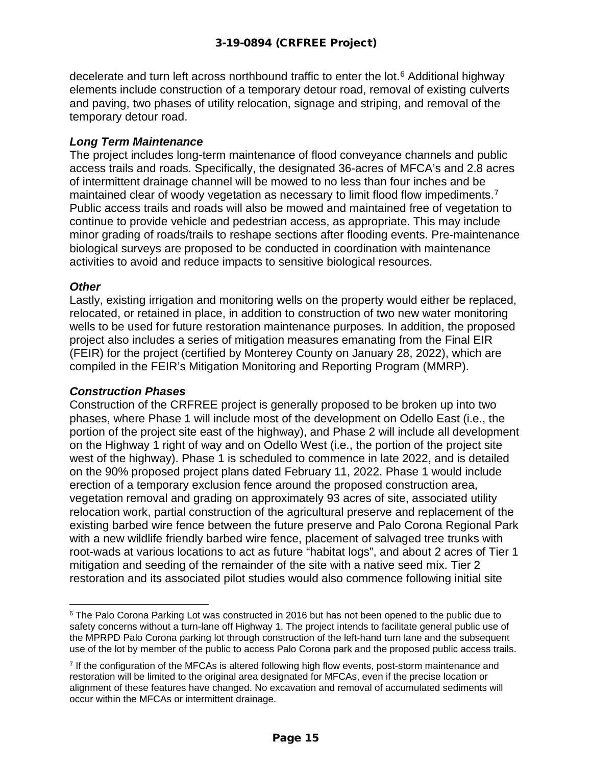decelerate and turn left across northbound traffic to enter the lot. [6](#page-14-0) Additional highway elements include construction of a temporary detour road, removal of existing culverts and paving, two phases of utility relocation, signage and striping, and removal of the temporary detour road.

#### *Long Term Maintenance*

The project includes long-term maintenance of flood conveyance channels and public access trails and roads. Specifically, the designated 36-acres of MFCA's and 2.8 acres of intermittent drainage channel will be mowed to no less than four inches and be maintained clear of woody vegetation as necessary to limit flood flow impediments.<sup>[7](#page-14-1)</sup> Public access trails and roads will also be mowed and maintained free of vegetation to continue to provide vehicle and pedestrian access, as appropriate. This may include minor grading of roads/trails to reshape sections after flooding events. Pre-maintenance biological surveys are proposed to be conducted in coordination with maintenance activities to avoid and reduce impacts to sensitive biological resources.

#### *Other*

Lastly, existing irrigation and monitoring wells on the property would either be replaced, relocated, or retained in place, in addition to construction of two new water monitoring wells to be used for future restoration maintenance purposes. In addition, the proposed project also includes a series of mitigation measures emanating from the Final EIR (FEIR) for the project (certified by Monterey County on January 28, 2022), which are compiled in the FEIR's Mitigation Monitoring and Reporting Program (MMRP).

#### *Construction Phases*

Construction of the CRFREE project is generally proposed to be broken up into two phases, where Phase 1 will include most of the development on Odello East (i.e., the portion of the project site east of the highway), and Phase 2 will include all development on the Highway 1 right of way and on Odello West (i.e., the portion of the project site west of the highway). Phase 1 is scheduled to commence in late 2022, and is detailed on the 90% proposed project plans dated February 11, 2022. Phase 1 would include erection of a temporary exclusion fence around the proposed construction area, vegetation removal and grading on approximately 93 acres of site, associated utility relocation work, partial construction of the agricultural preserve and replacement of the existing barbed wire fence between the future preserve and Palo Corona Regional Park with a new wildlife friendly barbed wire fence, placement of salvaged tree trunks with root-wads at various locations to act as future "habitat logs", and about 2 acres of Tier 1 mitigation and seeding of the remainder of the site with a native seed mix. Tier 2 restoration and its associated pilot studies would also commence following initial site

<span id="page-14-0"></span><sup>&</sup>lt;sup>6</sup> The Palo Corona Parking Lot was constructed in 2016 but has not been opened to the public due to safety concerns without a turn-lane off Highway 1. The project intends to facilitate general public use of the MPRPD Palo Corona parking lot through construction of the left-hand turn lane and the subsequent use of the lot by member of the public to access Palo Corona park and the proposed public access trails.

<span id="page-14-1"></span><sup>&</sup>lt;sup>7</sup> If the configuration of the MFCAs is altered following high flow events, post-storm maintenance and restoration will be limited to the original area designated for MFCAs, even if the precise location or alignment of these features have changed. No excavation and removal of accumulated sediments will occur within the MFCAs or intermittent drainage.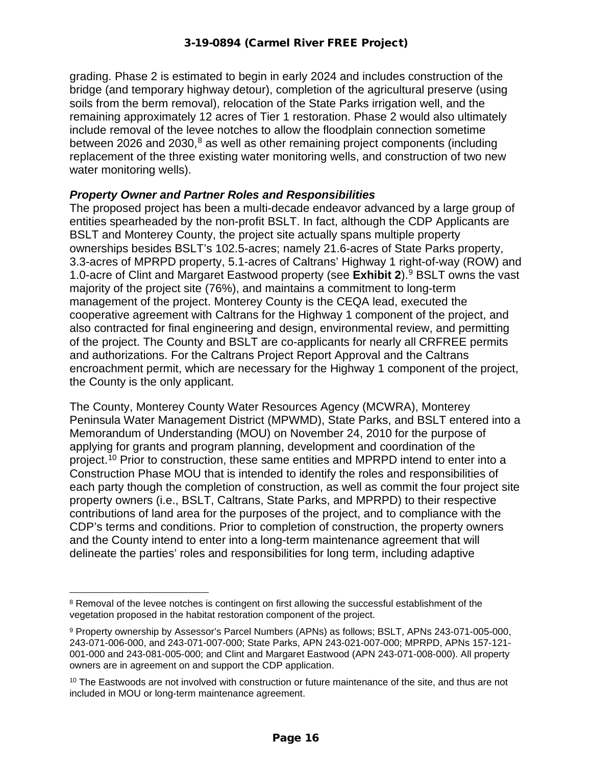grading. Phase 2 is estimated to begin in early 2024 and includes construction of the bridge (and temporary highway detour), completion of the agricultural preserve (using soils from the berm removal), relocation of the State Parks irrigation well, and the remaining approximately 12 acres of Tier 1 restoration. Phase 2 would also ultimately include removal of the levee notches to allow the floodplain connection sometime between 2026 and 2030, $8$  as well as other remaining project components (including replacement of the three existing water monitoring wells, and construction of two new water monitoring wells).

#### *Property Owner and Partner Roles and Responsibilities*

The proposed project has been a multi-decade endeavor advanced by a large group of entities spearheaded by the non-profit BSLT. In fact, although the CDP Applicants are BSLT and Monterey County, the project site actually spans multiple property ownerships besides BSLT's 102.5-acres; namely 21.6-acres of State Parks property, 3.3-acres of MPRPD property, 5.1-acres of Caltrans' Highway 1 right-of-way (ROW) and 1.0-acre of Clint and Margaret Eastwood property (see **Exhibit 2**).[9](#page-15-1) BSLT owns the vast majority of the project site (76%), and maintains a commitment to long-term management of the project. Monterey County is the CEQA lead, executed the cooperative agreement with Caltrans for the Highway 1 component of the project, and also contracted for final engineering and design, environmental review, and permitting of the project. The County and BSLT are co-applicants for nearly all CRFREE permits and authorizations. For the Caltrans Project Report Approval and the Caltrans encroachment permit, which are necessary for the Highway 1 component of the project, the County is the only applicant.

The County, Monterey County Water Resources Agency (MCWRA), Monterey Peninsula Water Management District (MPWMD), State Parks, and BSLT entered into a Memorandum of Understanding (MOU) on November 24, 2010 for the purpose of applying for grants and program planning, development and coordination of the project.<sup>[10](#page-15-2)</sup> Prior to construction, these same entities and MPRPD intend to enter into a Construction Phase MOU that is intended to identify the roles and responsibilities of each party though the completion of construction, as well as commit the four project site property owners (i.e., BSLT, Caltrans, State Parks, and MPRPD) to their respective contributions of land area for the purposes of the project, and to compliance with the CDP's terms and conditions. Prior to completion of construction, the property owners and the County intend to enter into a long-term maintenance agreement that will delineate the parties' roles and responsibilities for long term, including adaptive

<span id="page-15-0"></span><sup>&</sup>lt;sup>8</sup> Removal of the levee notches is contingent on first allowing the successful establishment of the vegetation proposed in the habitat restoration component of the project.

<span id="page-15-1"></span><sup>9</sup> Property ownership by Assessor's Parcel Numbers (APNs) as follows; BSLT, APNs 243-071-005-000, 243-071-006-000, and 243-071-007-000; State Parks, APN 243-021-007-000; MPRPD, APNs 157-121- 001-000 and 243-081-005-000; and Clint and Margaret Eastwood (APN 243-071-008-000). All property owners are in agreement on and support the CDP application.

<span id="page-15-2"></span><sup>&</sup>lt;sup>10</sup> The Eastwoods are not involved with construction or future maintenance of the site, and thus are not included in MOU or long-term maintenance agreement.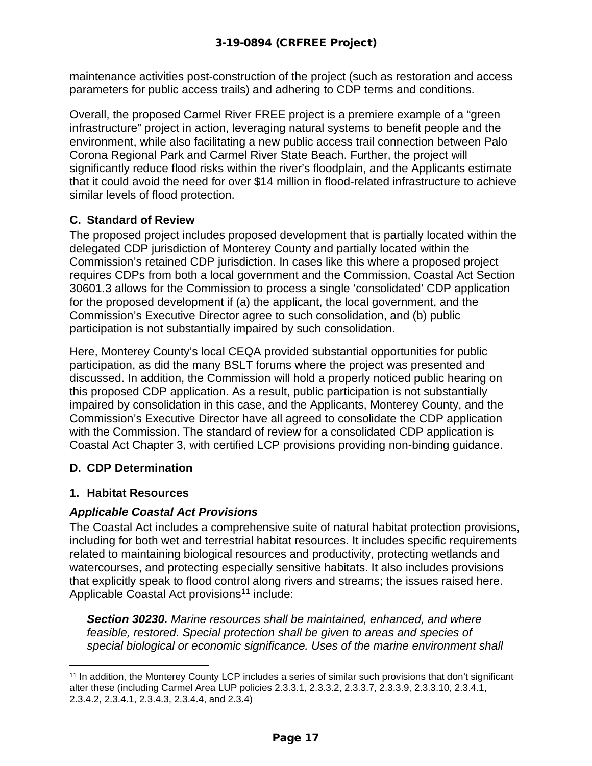maintenance activities post-construction of the project (such as restoration and access parameters for public access trails) and adhering to CDP terms and conditions.

Overall, the proposed Carmel River FREE project is a premiere example of a "green infrastructure" project in action, leveraging natural systems to benefit people and the environment, while also facilitating a new public access trail connection between Palo Corona Regional Park and Carmel River State Beach. Further, the project will significantly reduce flood risks within the river's floodplain, and the Applicants estimate that it could avoid the need for over \$14 million in flood-related infrastructure to achieve similar levels of flood protection.

# **C. Standard of Review**

The proposed project includes proposed development that is partially located within the delegated CDP jurisdiction of Monterey County and partially located within the Commission's retained CDP jurisdiction. In cases like this where a proposed project requires CDPs from both a local government and the Commission, Coastal Act Section 30601.3 allows for the Commission to process a single 'consolidated' CDP application for the proposed development if (a) the applicant, the local government, and the Commission's Executive Director agree to such consolidation, and (b) public participation is not substantially impaired by such consolidation.

Here, Monterey County's local CEQA provided substantial opportunities for public participation, as did the many BSLT forums where the project was presented and discussed. In addition, the Commission will hold a properly noticed public hearing on this proposed CDP application. As a result, public participation is not substantially impaired by consolidation in this case, and the Applicants, Monterey County, and the Commission's Executive Director have all agreed to consolidate the CDP application with the Commission. The standard of review for a consolidated CDP application is Coastal Act Chapter 3, with certified LCP provisions providing non-binding guidance.

# **D. CDP Determination**

# **1. Habitat Resources**

# *Applicable Coastal Act Provisions*

The Coastal Act includes a comprehensive suite of natural habitat protection provisions, including for both wet and terrestrial habitat resources. It includes specific requirements related to maintaining biological resources and productivity, protecting wetlands and watercourses, and protecting especially sensitive habitats. It also includes provisions that explicitly speak to flood control along rivers and streams; the issues raised here. Applicable Coastal Act provisions<sup>[11](#page-16-0)</sup> include:

*Section 30230. Marine resources shall be maintained, enhanced, and where feasible, restored. Special protection shall be given to areas and species of special biological or economic significance. Uses of the marine environment shall* 

<span id="page-16-0"></span><sup>11</sup> In addition, the Monterey County LCP includes a series of similar such provisions that don't significant alter these (including Carmel Area LUP policies 2.3.3.1, 2.3.3.2, 2.3.3.7, 2.3.3.9, 2.3.3.10, 2.3.4.1, 2.3.4.2, 2.3.4.1, 2.3.4.3, 2.3.4.4, and 2.3.4)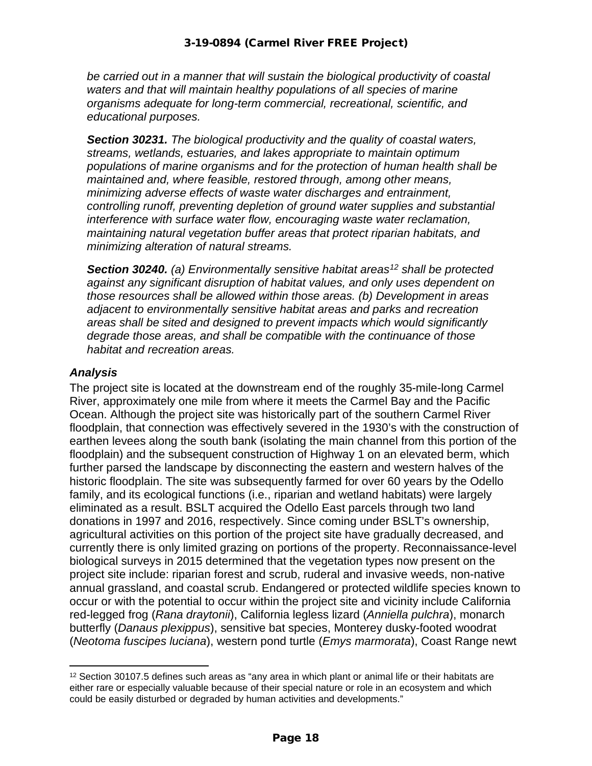*be carried out in a manner that will sustain the biological productivity of coastal waters and that will maintain healthy populations of all species of marine organisms adequate for long-term commercial, recreational, scientific, and educational purposes.*

*Section 30231. The biological productivity and the quality of coastal waters, streams, wetlands, estuaries, and lakes appropriate to maintain optimum populations of marine organisms and for the protection of human health shall be maintained and, where feasible, restored through, among other means, minimizing adverse effects of waste water discharges and entrainment, controlling runoff, preventing depletion of ground water supplies and substantial interference with surface water flow, encouraging waste water reclamation, maintaining natural vegetation buffer areas that protect riparian habitats, and minimizing alteration of natural streams.*

*Section 30240. (a) Environmentally sensitive habitat areas[12](#page-17-0) shall be protected against any significant disruption of habitat values, and only uses dependent on those resources shall be allowed within those areas. (b) Development in areas adjacent to environmentally sensitive habitat areas and parks and recreation areas shall be sited and designed to prevent impacts which would significantly degrade those areas, and shall be compatible with the continuance of those habitat and recreation areas.*

#### *Analysis*

The project site is located at the downstream end of the roughly 35-mile-long Carmel River, approximately one mile from where it meets the Carmel Bay and the Pacific Ocean. Although the project site was historically part of the southern Carmel River floodplain, that connection was effectively severed in the 1930's with the construction of earthen levees along the south bank (isolating the main channel from this portion of the floodplain) and the subsequent construction of Highway 1 on an elevated berm, which further parsed the landscape by disconnecting the eastern and western halves of the historic floodplain. The site was subsequently farmed for over 60 years by the Odello family, and its ecological functions (i.e., riparian and wetland habitats) were largely eliminated as a result. BSLT acquired the Odello East parcels through two land donations in 1997 and 2016, respectively. Since coming under BSLT's ownership, agricultural activities on this portion of the project site have gradually decreased, and currently there is only limited grazing on portions of the property. Reconnaissance-level biological surveys in 2015 determined that the vegetation types now present on the project site include: riparian forest and scrub, ruderal and invasive weeds, non-native annual grassland, and coastal scrub. Endangered or protected wildlife species known to occur or with the potential to occur within the project site and vicinity include California red-legged frog (*Rana draytonii*), California legless lizard (*Anniella pulchra*), monarch butterfly (*Danaus plexippus*), sensitive bat species, Monterey dusky-footed woodrat (*Neotoma fuscipes luciana*), western pond turtle (*Emys marmorata*), Coast Range newt

<span id="page-17-0"></span><sup>12</sup> Section 30107.5 defines such areas as "any area in which plant or animal life or their habitats are either rare or especially valuable because of their special nature or role in an ecosystem and which could be easily disturbed or degraded by human activities and developments."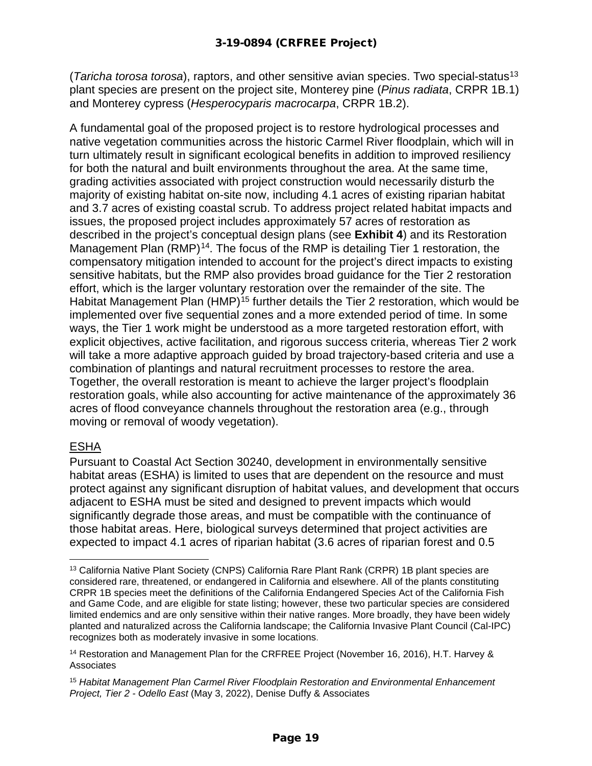(*Taricha torosa torosa*), raptors, and other sensitive avian species. Two special-statu[s13](#page-18-0) plant species are present on the project site, Monterey pine (*Pinus radiata*, CRPR 1B.1) and Monterey cypress (*Hesperocyparis macrocarpa*, CRPR 1B.2).

A fundamental goal of the proposed project is to restore hydrological processes and native vegetation communities across the historic Carmel River floodplain, which will in turn ultimately result in significant ecological benefits in addition to improved resiliency for both the natural and built environments throughout the area. At the same time, grading activities associated with project construction would necessarily disturb the majority of existing habitat on-site now, including 4.1 acres of existing riparian habitat and 3.7 acres of existing coastal scrub. To address project related habitat impacts and issues, the proposed project includes approximately 57 acres of restoration as described in the project's conceptual design plans (see **Exhibit 4**) and its Restoration Management Plan  $(RMP)^{14}$ . The focus of the RMP is detailing Tier 1 restoration, the compensatory mitigation intended to account for the project's direct impacts to existing sensitive habitats, but the RMP also provides broad guidance for the Tier 2 restoration effort, which is the larger voluntary restoration over the remainder of the site. The Habitat Management Plan (HMP)<sup>[15](#page-18-2)</sup> further details the Tier 2 restoration, which would be implemented over five sequential zones and a more extended period of time. In some ways, the Tier 1 work might be understood as a more targeted restoration effort, with explicit objectives, active facilitation, and rigorous success criteria, whereas Tier 2 work will take a more adaptive approach guided by broad trajectory-based criteria and use a combination of plantings and natural recruitment processes to restore the area. Together, the overall restoration is meant to achieve the larger project's floodplain restoration goals, while also accounting for active maintenance of the approximately 36 acres of flood conveyance channels throughout the restoration area (e.g., through moving or removal of woody vegetation).

#### ESHA

Pursuant to Coastal Act Section 30240, development in environmentally sensitive habitat areas (ESHA) is limited to uses that are dependent on the resource and must protect against any significant disruption of habitat values, and development that occurs adjacent to ESHA must be sited and designed to prevent impacts which would significantly degrade those areas, and must be compatible with the continuance of those habitat areas. Here, biological surveys determined that project activities are expected to impact 4.1 acres of riparian habitat (3.6 acres of riparian forest and 0.5

<span id="page-18-0"></span><sup>13</sup> California Native Plant Society (CNPS) California Rare Plant Rank (CRPR) 1B plant species are considered rare, threatened, or endangered in California and elsewhere. All of the plants constituting CRPR 1B species meet the definitions of the California Endangered Species Act of the California Fish and Game Code, and are eligible for state listing; however, these two particular species are considered limited endemics and are only sensitive within their native ranges. More broadly, they have been widely planted and naturalized across the California landscape; the California Invasive Plant Council (Cal-IPC) recognizes both as moderately invasive in some locations.

<span id="page-18-1"></span><sup>14</sup> Restoration and Management Plan for the CRFREE Project (November 16, 2016), H.T. Harvey & **Associates** 

<span id="page-18-2"></span><sup>15</sup> *Habitat Management Plan Carmel River Floodplain Restoration and Environmental Enhancement Project, Tier 2 - Odello East* (May 3, 2022), Denise Duffy & Associates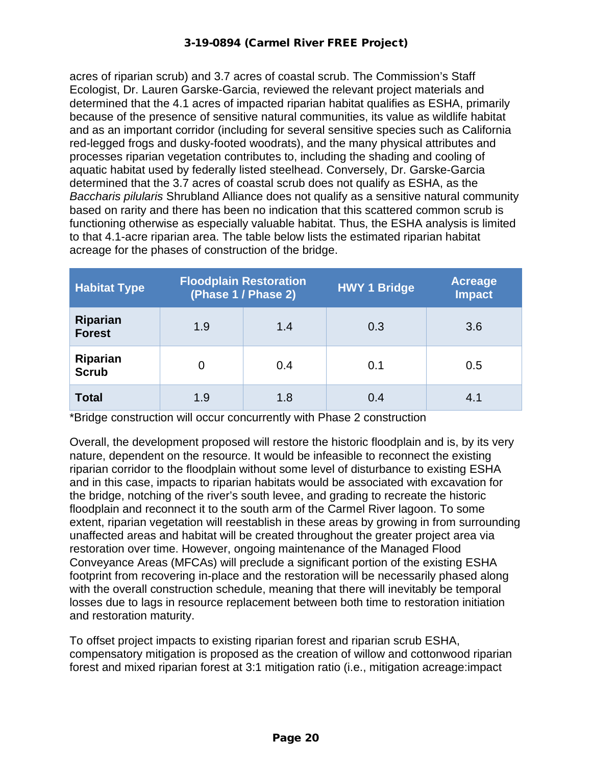#### 3-19-0894 (Carmel River FREE Project)

acres of riparian scrub) and 3.7 acres of coastal scrub. The Commission's Staff Ecologist, Dr. Lauren Garske-Garcia, reviewed the relevant project materials and determined that the 4.1 acres of impacted riparian habitat qualifies as ESHA, primarily because of the presence of sensitive natural communities, its value as wildlife habitat and as an important corridor (including for several sensitive species such as California red-legged frogs and dusky-footed woodrats), and the many physical attributes and processes riparian vegetation contributes to, including the shading and cooling of aquatic habitat used by federally listed steelhead. Conversely, Dr. Garske-Garcia determined that the 3.7 acres of coastal scrub does not qualify as ESHA, as the *Baccharis pilularis* Shrubland Alliance does not qualify as a sensitive natural community based on rarity and there has been no indication that this scattered common scrub is functioning otherwise as especially valuable habitat. Thus, the ESHA analysis is limited to that 4.1-acre riparian area. The table below lists the estimated riparian habitat acreage for the phases of construction of the bridge.

| <b>Habitat Type</b>              | <b>Floodplain Restoration</b><br>(Phase 1 / Phase 2) |     | <b>HWY 1 Bridge</b> | <b>Acreage</b><br><b>Impact</b> |
|----------------------------------|------------------------------------------------------|-----|---------------------|---------------------------------|
| <b>Riparian</b><br><b>Forest</b> | 1.9                                                  | 1.4 | 0.3                 | 3.6                             |
| Riparian<br><b>Scrub</b>         |                                                      | 0.4 | 0.1                 | 0.5                             |
| <b>Total</b>                     | 1.9                                                  | 1.8 | 0.4                 | 4.1                             |

\*Bridge construction will occur concurrently with Phase 2 construction

Overall, the development proposed will restore the historic floodplain and is, by its very nature, dependent on the resource. It would be infeasible to reconnect the existing riparian corridor to the floodplain without some level of disturbance to existing ESHA and in this case, impacts to riparian habitats would be associated with excavation for the bridge, notching of the river's south levee, and grading to recreate the historic floodplain and reconnect it to the south arm of the Carmel River lagoon. To some extent, riparian vegetation will reestablish in these areas by growing in from surrounding unaffected areas and habitat will be created throughout the greater project area via restoration over time. However, ongoing maintenance of the Managed Flood Conveyance Areas (MFCAs) will preclude a significant portion of the existing ESHA footprint from recovering in-place and the restoration will be necessarily phased along with the overall construction schedule, meaning that there will inevitably be temporal losses due to lags in resource replacement between both time to restoration initiation and restoration maturity.

To offset project impacts to existing riparian forest and riparian scrub ESHA, compensatory mitigation is proposed as the creation of willow and cottonwood riparian forest and mixed riparian forest at 3:1 mitigation ratio (i.e., mitigation acreage:impact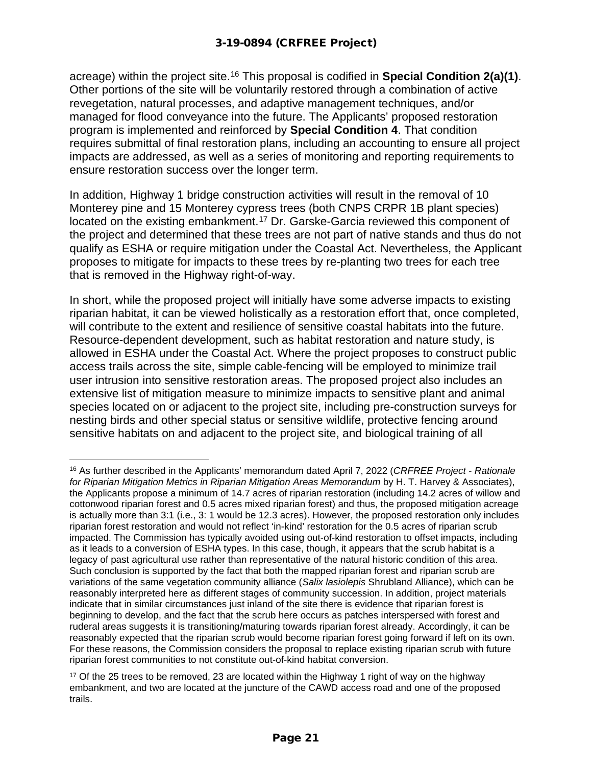acreage) within the project site. [16](#page-20-0) This proposal is codified in **Special Condition 2(a)(1)**. Other portions of the site will be voluntarily restored through a combination of active revegetation, natural processes, and adaptive management techniques, and/or managed for flood conveyance into the future. The Applicants' proposed restoration program is implemented and reinforced by **Special Condition 4**. That condition requires submittal of final restoration plans, including an accounting to ensure all project impacts are addressed, as well as a series of monitoring and reporting requirements to ensure restoration success over the longer term.

In addition, Highway 1 bridge construction activities will result in the removal of 10 Monterey pine and 15 Monterey cypress trees (both CNPS CRPR 1B plant species) located on the existing embankment.[17](#page-20-1) Dr. Garske-Garcia reviewed this component of the project and determined that these trees are not part of native stands and thus do not qualify as ESHA or require mitigation under the Coastal Act. Nevertheless, the Applicant proposes to mitigate for impacts to these trees by re-planting two trees for each tree that is removed in the Highway right-of-way.

In short, while the proposed project will initially have some adverse impacts to existing riparian habitat, it can be viewed holistically as a restoration effort that, once completed, will contribute to the extent and resilience of sensitive coastal habitats into the future. Resource-dependent development, such as habitat restoration and nature study, is allowed in ESHA under the Coastal Act. Where the project proposes to construct public access trails across the site, simple cable-fencing will be employed to minimize trail user intrusion into sensitive restoration areas. The proposed project also includes an extensive list of mitigation measure to minimize impacts to sensitive plant and animal species located on or adjacent to the project site, including pre-construction surveys for nesting birds and other special status or sensitive wildlife, protective fencing around sensitive habitats on and adjacent to the project site, and biological training of all

<span id="page-20-0"></span><sup>16</sup> As further described in the Applicants' memorandum dated April 7, 2022 (*CRFREE Project - Rationale for Riparian Mitigation Metrics in Riparian Mitigation Areas Memorandum* by H. T. Harvey & Associates), the Applicants propose a minimum of 14.7 acres of riparian restoration (including 14.2 acres of willow and cottonwood riparian forest and 0.5 acres mixed riparian forest) and thus, the proposed mitigation acreage is actually more than 3:1 (i.e., 3: 1 would be 12.3 acres). However, the proposed restoration only includes riparian forest restoration and would not reflect 'in-kind' restoration for the 0.5 acres of riparian scrub impacted. The Commission has typically avoided using out-of-kind restoration to offset impacts, including as it leads to a conversion of ESHA types. In this case, though, it appears that the scrub habitat is a legacy of past agricultural use rather than representative of the natural historic condition of this area. Such conclusion is supported by the fact that both the mapped riparian forest and riparian scrub are variations of the same vegetation community alliance (*Salix lasiolepis* Shrubland Alliance), which can be reasonably interpreted here as different stages of community succession. In addition, project materials indicate that in similar circumstances just inland of the site there is evidence that riparian forest is beginning to develop, and the fact that the scrub here occurs as patches interspersed with forest and ruderal areas suggests it is transitioning/maturing towards riparian forest already. Accordingly, it can be reasonably expected that the riparian scrub would become riparian forest going forward if left on its own. For these reasons, the Commission considers the proposal to replace existing riparian scrub with future riparian forest communities to not constitute out-of-kind habitat conversion.

<span id="page-20-1"></span><sup>&</sup>lt;sup>17</sup> Of the 25 trees to be removed, 23 are located within the Highway 1 right of way on the highway embankment, and two are located at the juncture of the CAWD access road and one of the proposed trails.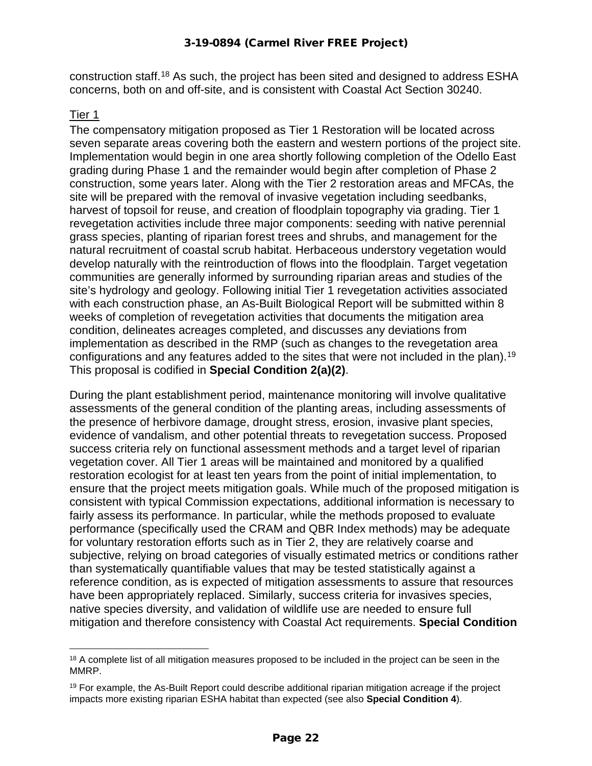construction staff.<sup>[18](#page-21-0)</sup> As such, the project has been sited and designed to address ESHA concerns, both on and off-site, and is consistent with Coastal Act Section 30240.

#### Tier 1

The compensatory mitigation proposed as Tier 1 Restoration will be located across seven separate areas covering both the eastern and western portions of the project site. Implementation would begin in one area shortly following completion of the Odello East grading during Phase 1 and the remainder would begin after completion of Phase 2 construction, some years later. Along with the Tier 2 restoration areas and MFCAs, the site will be prepared with the removal of invasive vegetation including seedbanks, harvest of topsoil for reuse, and creation of floodplain topography via grading. Tier 1 revegetation activities include three major components: seeding with native perennial grass species, planting of riparian forest trees and shrubs, and management for the natural recruitment of coastal scrub habitat. Herbaceous understory vegetation would develop naturally with the reintroduction of flows into the floodplain. Target vegetation communities are generally informed by surrounding riparian areas and studies of the site's hydrology and geology. Following initial Tier 1 revegetation activities associated with each construction phase, an As-Built Biological Report will be submitted within 8 weeks of completion of revegetation activities that documents the mitigation area condition, delineates acreages completed, and discusses any deviations from implementation as described in the RMP (such as changes to the revegetation area configurations and any features added to the sites that were not included in the plan).<sup>[19](#page-21-1)</sup> This proposal is codified in **Special Condition 2(a)(2)**.

During the plant establishment period, maintenance monitoring will involve qualitative assessments of the general condition of the planting areas, including assessments of the presence of herbivore damage, drought stress, erosion, invasive plant species, evidence of vandalism, and other potential threats to revegetation success. Proposed success criteria rely on functional assessment methods and a target level of riparian vegetation cover. All Tier 1 areas will be maintained and monitored by a qualified restoration ecologist for at least ten years from the point of initial implementation, to ensure that the project meets mitigation goals. While much of the proposed mitigation is consistent with typical Commission expectations, additional information is necessary to fairly assess its performance. In particular, while the methods proposed to evaluate performance (specifically used the CRAM and QBR Index methods) may be adequate for voluntary restoration efforts such as in Tier 2, they are relatively coarse and subjective, relying on broad categories of visually estimated metrics or conditions rather than systematically quantifiable values that may be tested statistically against a reference condition, as is expected of mitigation assessments to assure that resources have been appropriately replaced. Similarly, success criteria for invasives species, native species diversity, and validation of wildlife use are needed to ensure full mitigation and therefore consistency with Coastal Act requirements. **Special Condition** 

<span id="page-21-0"></span><sup>&</sup>lt;sup>18</sup> A complete list of all mitigation measures proposed to be included in the project can be seen in the MMRP.

<span id="page-21-1"></span> $19$  For example, the As-Built Report could describe additional riparian mitigation acreage if the project impacts more existing riparian ESHA habitat than expected (see also **Special Condition 4**).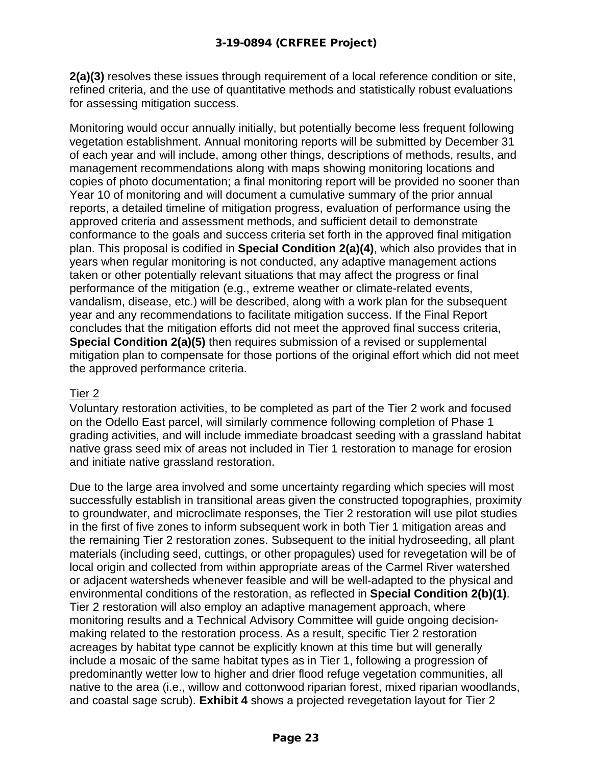**2(a)(3)** resolves these issues through requirement of a local reference condition or site, refined criteria, and the use of quantitative methods and statistically robust evaluations for assessing mitigation success.

Monitoring would occur annually initially, but potentially become less frequent following vegetation establishment. Annual monitoring reports will be submitted by December 31 of each year and will include, among other things, descriptions of methods, results, and management recommendations along with maps showing monitoring locations and copies of photo documentation; a final monitoring report will be provided no sooner than Year 10 of monitoring and will document a cumulative summary of the prior annual reports, a detailed timeline of mitigation progress, evaluation of performance using the approved criteria and assessment methods, and sufficient detail to demonstrate conformance to the goals and success criteria set forth in the approved final mitigation plan. This proposal is codified in **Special Condition 2(a)(4)**, which also provides that in years when regular monitoring is not conducted, any adaptive management actions taken or other potentially relevant situations that may affect the progress or final performance of the mitigation (e.g., extreme weather or climate-related events, vandalism, disease, etc.) will be described, along with a work plan for the subsequent year and any recommendations to facilitate mitigation success. If the Final Report concludes that the mitigation efforts did not meet the approved final success criteria, **Special Condition 2(a)(5)** then requires submission of a revised or supplemental mitigation plan to compensate for those portions of the original effort which did not meet the approved performance criteria.

#### Tier 2

Voluntary restoration activities, to be completed as part of the Tier 2 work and focused on the Odello East parcel, will similarly commence following completion of Phase 1 grading activities, and will include immediate broadcast seeding with a grassland habitat native grass seed mix of areas not included in Tier 1 restoration to manage for erosion and initiate native grassland restoration.

Due to the large area involved and some uncertainty regarding which species will most successfully establish in transitional areas given the constructed topographies, proximity to groundwater, and microclimate responses, the Tier 2 restoration will use pilot studies in the first of five zones to inform subsequent work in both Tier 1 mitigation areas and the remaining Tier 2 restoration zones. Subsequent to the initial hydroseeding, all plant materials (including seed, cuttings, or other propagules) used for revegetation will be of local origin and collected from within appropriate areas of the Carmel River watershed or adjacent watersheds whenever feasible and will be well-adapted to the physical and environmental conditions of the restoration, as reflected in **Special Condition 2(b)(1)**. Tier 2 restoration will also employ an adaptive management approach, where monitoring results and a Technical Advisory Committee will guide ongoing decisionmaking related to the restoration process. As a result, specific Tier 2 restoration acreages by habitat type cannot be explicitly known at this time but will generally include a mosaic of the same habitat types as in Tier 1, following a progression of predominantly wetter low to higher and drier flood refuge vegetation communities, all native to the area (i.e., willow and cottonwood riparian forest, mixed riparian woodlands, and coastal sage scrub). **Exhibit 4** shows a projected revegetation layout for Tier 2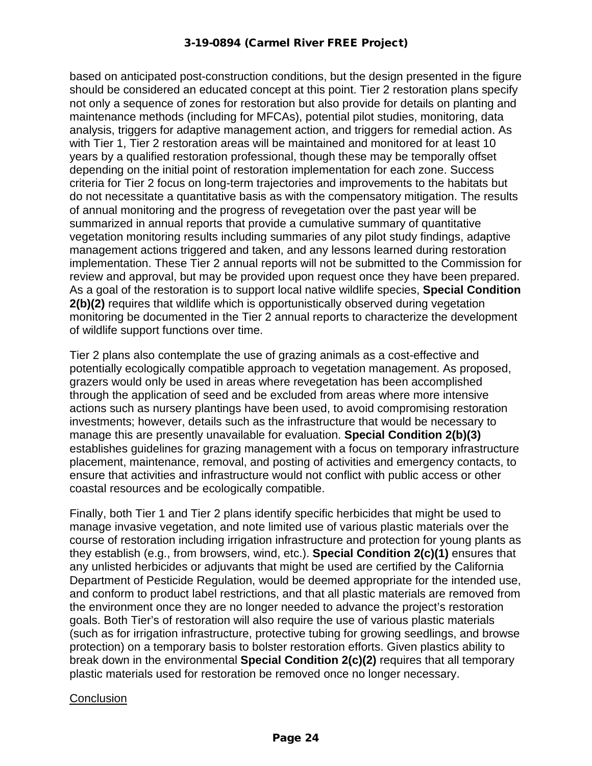#### 3-19-0894 (Carmel River FREE Project)

based on anticipated post-construction conditions, but the design presented in the figure should be considered an educated concept at this point. Tier 2 restoration plans specify not only a sequence of zones for restoration but also provide for details on planting and maintenance methods (including for MFCAs), potential pilot studies, monitoring, data analysis, triggers for adaptive management action, and triggers for remedial action. As with Tier 1, Tier 2 restoration areas will be maintained and monitored for at least 10 years by a qualified restoration professional, though these may be temporally offset depending on the initial point of restoration implementation for each zone. Success criteria for Tier 2 focus on long-term trajectories and improvements to the habitats but do not necessitate a quantitative basis as with the compensatory mitigation. The results of annual monitoring and the progress of revegetation over the past year will be summarized in annual reports that provide a cumulative summary of quantitative vegetation monitoring results including summaries of any pilot study findings, adaptive management actions triggered and taken, and any lessons learned during restoration implementation. These Tier 2 annual reports will not be submitted to the Commission for review and approval, but may be provided upon request once they have been prepared. As a goal of the restoration is to support local native wildlife species, **Special Condition 2(b)(2)** requires that wildlife which is opportunistically observed during vegetation monitoring be documented in the Tier 2 annual reports to characterize the development of wildlife support functions over time.

Tier 2 plans also contemplate the use of grazing animals as a cost-effective and potentially ecologically compatible approach to vegetation management. As proposed, grazers would only be used in areas where revegetation has been accomplished through the application of seed and be excluded from areas where more intensive actions such as nursery plantings have been used, to avoid compromising restoration investments; however, details such as the infrastructure that would be necessary to manage this are presently unavailable for evaluation. **Special Condition 2(b)(3)** establishes guidelines for grazing management with a focus on temporary infrastructure placement, maintenance, removal, and posting of activities and emergency contacts, to ensure that activities and infrastructure would not conflict with public access or other coastal resources and be ecologically compatible.

Finally, both Tier 1 and Tier 2 plans identify specific herbicides that might be used to manage invasive vegetation, and note limited use of various plastic materials over the course of restoration including irrigation infrastructure and protection for young plants as they establish (e.g., from browsers, wind, etc.). **Special Condition 2(c)(1)** ensures that any unlisted herbicides or adjuvants that might be used are certified by the California Department of Pesticide Regulation, would be deemed appropriate for the intended use, and conform to product label restrictions, and that all plastic materials are removed from the environment once they are no longer needed to advance the project's restoration goals. Both Tier's of restoration will also require the use of various plastic materials (such as for irrigation infrastructure, protective tubing for growing seedlings, and browse protection) on a temporary basis to bolster restoration efforts. Given plastics ability to break down in the environmental **Special Condition 2(c)(2)** requires that all temporary plastic materials used for restoration be removed once no longer necessary.

#### **Conclusion**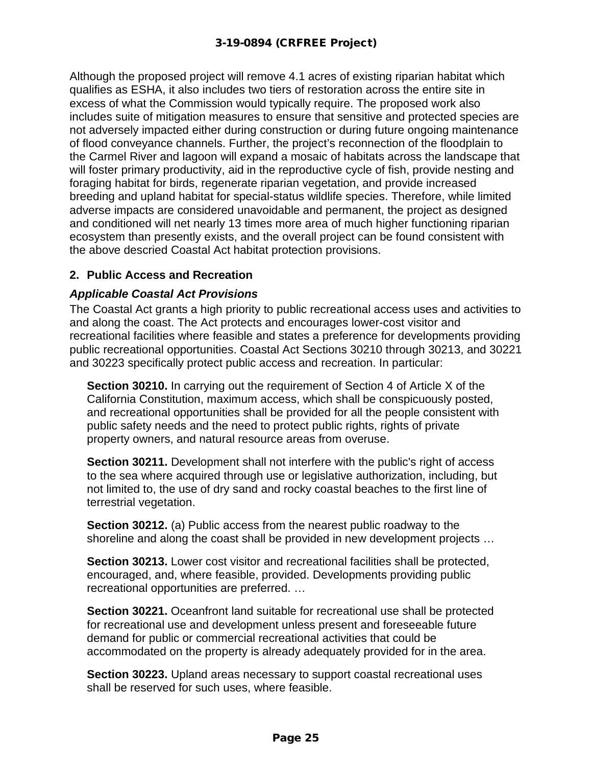Although the proposed project will remove 4.1 acres of existing riparian habitat which qualifies as ESHA, it also includes two tiers of restoration across the entire site in excess of what the Commission would typically require. The proposed work also includes suite of mitigation measures to ensure that sensitive and protected species are not adversely impacted either during construction or during future ongoing maintenance of flood conveyance channels. Further, the project's reconnection of the floodplain to the Carmel River and lagoon will expand a mosaic of habitats across the landscape that will foster primary productivity, aid in the reproductive cycle of fish, provide nesting and foraging habitat for birds, regenerate riparian vegetation, and provide increased breeding and upland habitat for special-status wildlife species. Therefore, while limited adverse impacts are considered unavoidable and permanent, the project as designed and conditioned will net nearly 13 times more area of much higher functioning riparian ecosystem than presently exists, and the overall project can be found consistent with the above descried Coastal Act habitat protection provisions.

# **2. Public Access and Recreation**

#### *Applicable Coastal Act Provisions*

The Coastal Act grants a high priority to public recreational access uses and activities to and along the coast. The Act protects and encourages lower-cost visitor and recreational facilities where feasible and states a preference for developments providing public recreational opportunities. Coastal Act Sections 30210 through 30213, and 30221 and 30223 specifically protect public access and recreation. In particular:

**Section 30210.** In carrying out the requirement of Section 4 of Article X of the California Constitution, maximum access, which shall be conspicuously posted, and recreational opportunities shall be provided for all the people consistent with public safety needs and the need to protect public rights, rights of private property owners, and natural resource areas from overuse.

**Section 30211.** Development shall not interfere with the public's right of access to the sea where acquired through use or legislative authorization, including, but not limited to, the use of dry sand and rocky coastal beaches to the first line of terrestrial vegetation.

**Section 30212.** (a) Public access from the nearest public roadway to the shoreline and along the coast shall be provided in new development projects …

**Section 30213.** Lower cost visitor and recreational facilities shall be protected, encouraged, and, where feasible, provided. Developments providing public recreational opportunities are preferred. …

**Section 30221.** Oceanfront land suitable for recreational use shall be protected for recreational use and development unless present and foreseeable future demand for public or commercial recreational activities that could be accommodated on the property is already adequately provided for in the area.

**Section 30223.** Upland areas necessary to support coastal recreational uses shall be reserved for such uses, where feasible.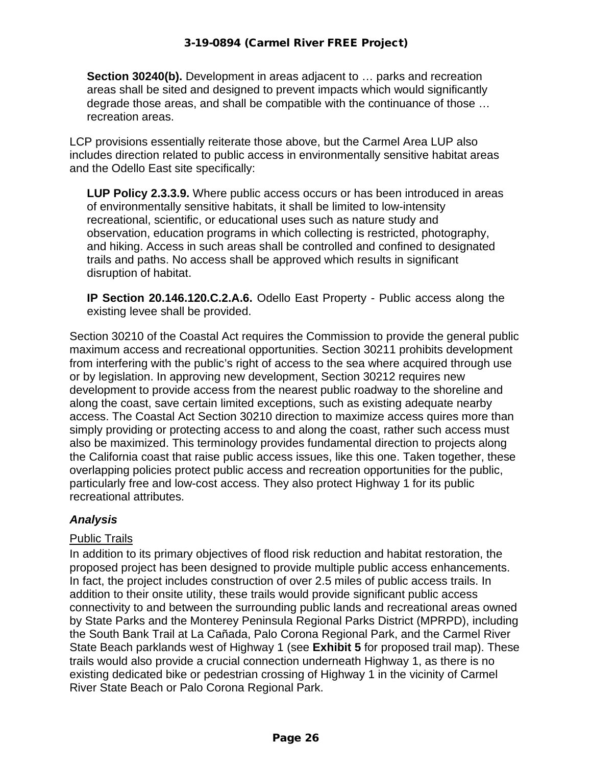**Section 30240(b).** Development in areas adjacent to ... parks and recreation areas shall be sited and designed to prevent impacts which would significantly degrade those areas, and shall be compatible with the continuance of those … recreation areas.

LCP provisions essentially reiterate those above, but the Carmel Area LUP also includes direction related to public access in environmentally sensitive habitat areas and the Odello East site specifically:

**LUP Policy 2.3.3.9.** Where public access occurs or has been introduced in areas of environmentally sensitive habitats, it shall be limited to low-intensity recreational, scientific, or educational uses such as nature study and observation, education programs in which collecting is restricted, photography, and hiking. Access in such areas shall be controlled and confined to designated trails and paths. No access shall be approved which results in significant disruption of habitat.

**IP Section 20.146.120.C.2.A.6.** Odello East Property - Public access along the existing levee shall be provided.

Section 30210 of the Coastal Act requires the Commission to provide the general public maximum access and recreational opportunities. Section 30211 prohibits development from interfering with the public's right of access to the sea where acquired through use or by legislation. In approving new development, Section 30212 requires new development to provide access from the nearest public roadway to the shoreline and along the coast, save certain limited exceptions, such as existing adequate nearby access. The Coastal Act Section 30210 direction to maximize access quires more than simply providing or protecting access to and along the coast, rather such access must also be maximized. This terminology provides fundamental direction to projects along the California coast that raise public access issues, like this one. Taken together, these overlapping policies protect public access and recreation opportunities for the public, particularly free and low-cost access. They also protect Highway 1 for its public recreational attributes.

# *Analysis*

#### Public Trails

In addition to its primary objectives of flood risk reduction and habitat restoration, the proposed project has been designed to provide multiple public access enhancements. In fact, the project includes construction of over 2.5 miles of public access trails. In addition to their onsite utility, these trails would provide significant public access connectivity to and between the surrounding public lands and recreational areas owned by State Parks and the Monterey Peninsula Regional Parks District (MPRPD), including the South Bank Trail at La Cañada, Palo Corona Regional Park, and the Carmel River State Beach parklands west of Highway 1 (see **Exhibit 5** for proposed trail map). These trails would also provide a crucial connection underneath Highway 1, as there is no existing dedicated bike or pedestrian crossing of Highway 1 in the vicinity of Carmel River State Beach or Palo Corona Regional Park.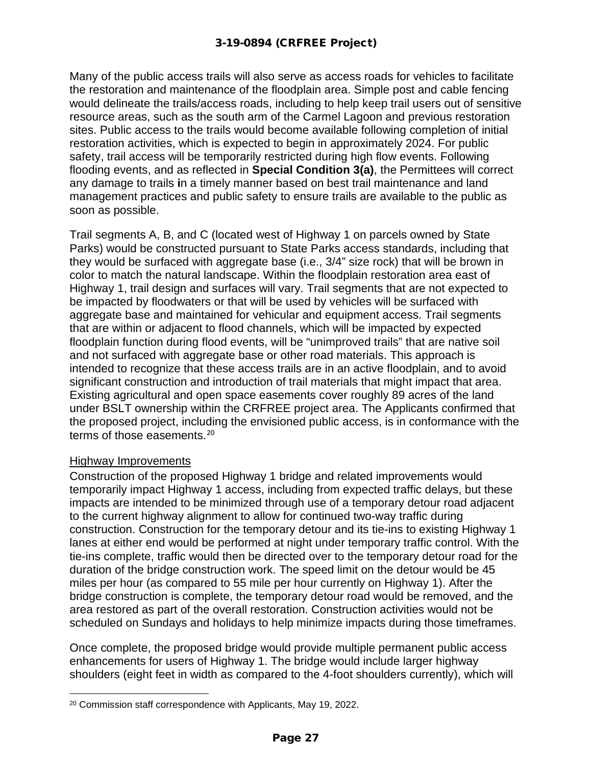Many of the public access trails will also serve as access roads for vehicles to facilitate the restoration and maintenance of the floodplain area. Simple post and cable fencing would delineate the trails/access roads, including to help keep trail users out of sensitive resource areas, such as the south arm of the Carmel Lagoon and previous restoration sites. Public access to the trails would become available following completion of initial restoration activities, which is expected to begin in approximately 2024. For public safety, trail access will be temporarily restricted during high flow events. Following flooding events, and as reflected in **Special Condition 3(a)**, the Permittees will correct any damage to trails **i**n a timely manner based on best trail maintenance and land management practices and public safety to ensure trails are available to the public as soon as possible.

Trail segments A, B, and C (located west of Highway 1 on parcels owned by State Parks) would be constructed pursuant to State Parks access standards, including that they would be surfaced with aggregate base (i.e., 3/4" size rock) that will be brown in color to match the natural landscape. Within the floodplain restoration area east of Highway 1, trail design and surfaces will vary. Trail segments that are not expected to be impacted by floodwaters or that will be used by vehicles will be surfaced with aggregate base and maintained for vehicular and equipment access. Trail segments that are within or adjacent to flood channels, which will be impacted by expected floodplain function during flood events, will be "unimproved trails" that are native soil and not surfaced with aggregate base or other road materials. This approach is intended to recognize that these access trails are in an active floodplain, and to avoid significant construction and introduction of trail materials that might impact that area. Existing agricultural and open space easements cover roughly 89 acres of the land under BSLT ownership within the CRFREE project area. The Applicants confirmed that the proposed project, including the envisioned public access, is in conformance with the terms of those easements.[20](#page-26-0)

#### Highway Improvements

Construction of the proposed Highway 1 bridge and related improvements would temporarily impact Highway 1 access, including from expected traffic delays, but these impacts are intended to be minimized through use of a temporary detour road adjacent to the current highway alignment to allow for continued two-way traffic during construction. Construction for the temporary detour and its tie-ins to existing Highway 1 lanes at either end would be performed at night under temporary traffic control. With the tie-ins complete, traffic would then be directed over to the temporary detour road for the duration of the bridge construction work. The speed limit on the detour would be 45 miles per hour (as compared to 55 mile per hour currently on Highway 1). After the bridge construction is complete, the temporary detour road would be removed, and the area restored as part of the overall restoration. Construction activities would not be scheduled on Sundays and holidays to help minimize impacts during those timeframes.

Once complete, the proposed bridge would provide multiple permanent public access enhancements for users of Highway 1. The bridge would include larger highway shoulders (eight feet in width as compared to the 4-foot shoulders currently), which will

<span id="page-26-0"></span><sup>20</sup> Commission staff correspondence with Applicants, May 19, 2022.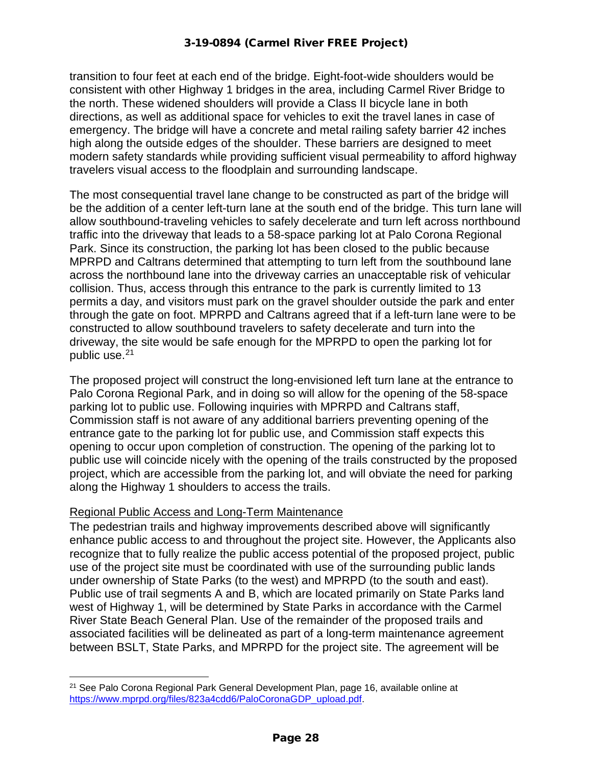transition to four feet at each end of the bridge. Eight-foot-wide shoulders would be consistent with other Highway 1 bridges in the area, including Carmel River Bridge to the north. These widened shoulders will provide a Class II bicycle lane in both directions, as well as additional space for vehicles to exit the travel lanes in case of emergency. The bridge will have a concrete and metal railing safety barrier 42 inches high along the outside edges of the shoulder. These barriers are designed to meet modern safety standards while providing sufficient visual permeability to afford highway travelers visual access to the floodplain and surrounding landscape.

The most consequential travel lane change to be constructed as part of the bridge will be the addition of a center left-turn lane at the south end of the bridge. This turn lane will allow southbound-traveling vehicles to safely decelerate and turn left across northbound traffic into the driveway that leads to a 58-space parking lot at Palo Corona Regional Park. Since its construction, the parking lot has been closed to the public because MPRPD and Caltrans determined that attempting to turn left from the southbound lane across the northbound lane into the driveway carries an unacceptable risk of vehicular collision. Thus, access through this entrance to the park is currently limited to 13 permits a day, and visitors must park on the gravel shoulder outside the park and enter through the gate on foot. MPRPD and Caltrans agreed that if a left-turn lane were to be constructed to allow southbound travelers to safety decelerate and turn into the driveway, the site would be safe enough for the MPRPD to open the parking lot for public use.<sup>[21](#page-27-0)</sup>

The proposed project will construct the long-envisioned left turn lane at the entrance to Palo Corona Regional Park, and in doing so will allow for the opening of the 58-space parking lot to public use. Following inquiries with MPRPD and Caltrans staff, Commission staff is not aware of any additional barriers preventing opening of the entrance gate to the parking lot for public use, and Commission staff expects this opening to occur upon completion of construction. The opening of the parking lot to public use will coincide nicely with the opening of the trails constructed by the proposed project, which are accessible from the parking lot, and will obviate the need for parking along the Highway 1 shoulders to access the trails.

#### Regional Public Access and Long-Term Maintenance

The pedestrian trails and highway improvements described above will significantly enhance public access to and throughout the project site. However, the Applicants also recognize that to fully realize the public access potential of the proposed project, public use of the project site must be coordinated with use of the surrounding public lands under ownership of State Parks (to the west) and MPRPD (to the south and east). Public use of trail segments A and B, which are located primarily on State Parks land west of Highway 1, will be determined by State Parks in accordance with the Carmel River State Beach General Plan. Use of the remainder of the proposed trails and associated facilities will be delineated as part of a long-term maintenance agreement between BSLT, State Parks, and MPRPD for the project site. The agreement will be

<span id="page-27-0"></span><sup>21</sup> See Palo Corona Regional Park General Development Plan, page 16, available online at [https://www.mprpd.org/files/823a4cdd6/PaloCoronaGDP\\_upload.pdf.](https://www.mprpd.org/files/823a4cdd6/PaloCoronaGDP_upload.pdf)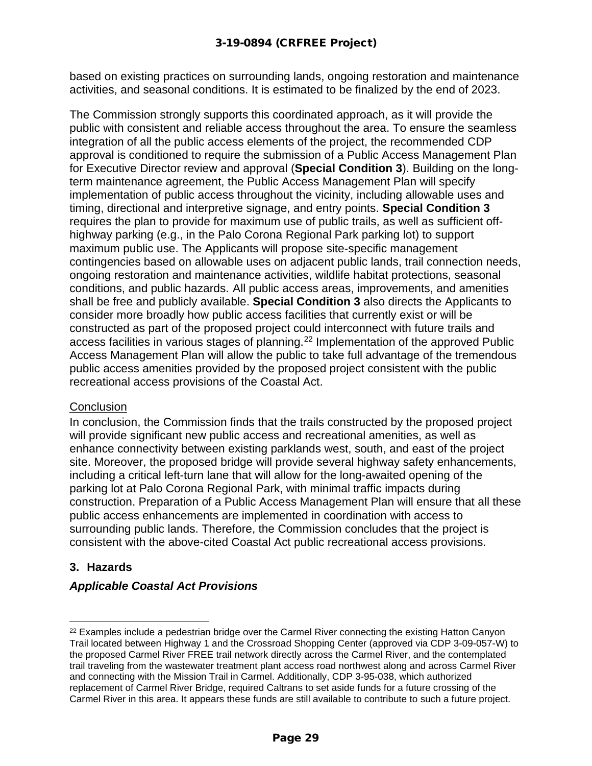based on existing practices on surrounding lands, ongoing restoration and maintenance activities, and seasonal conditions. It is estimated to be finalized by the end of 2023.

The Commission strongly supports this coordinated approach, as it will provide the public with consistent and reliable access throughout the area. To ensure the seamless integration of all the public access elements of the project, the recommended CDP approval is conditioned to require the submission of a Public Access Management Plan for Executive Director review and approval (**Special Condition 3**). Building on the longterm maintenance agreement, the Public Access Management Plan will specify implementation of public access throughout the vicinity, including allowable uses and timing, directional and interpretive signage, and entry points. **Special Condition 3** requires the plan to provide for maximum use of public trails, as well as sufficient offhighway parking (e.g., in the Palo Corona Regional Park parking lot) to support maximum public use. The Applicants will propose site-specific management contingencies based on allowable uses on adjacent public lands, trail connection needs, ongoing restoration and maintenance activities, wildlife habitat protections, seasonal conditions, and public hazards. All public access areas, improvements, and amenities shall be free and publicly available. **Special Condition 3** also directs the Applicants to consider more broadly how public access facilities that currently exist or will be constructed as part of the proposed project could interconnect with future trails and access facilities in various stages of planning.<sup>[22](#page-28-0)</sup> Implementation of the approved Public Access Management Plan will allow the public to take full advantage of the tremendous public access amenities provided by the proposed project consistent with the public recreational access provisions of the Coastal Act.

#### **Conclusion**

In conclusion, the Commission finds that the trails constructed by the proposed project will provide significant new public access and recreational amenities, as well as enhance connectivity between existing parklands west, south, and east of the project site. Moreover, the proposed bridge will provide several highway safety enhancements, including a critical left-turn lane that will allow for the long-awaited opening of the parking lot at Palo Corona Regional Park, with minimal traffic impacts during construction. Preparation of a Public Access Management Plan will ensure that all these public access enhancements are implemented in coordination with access to surrounding public lands. Therefore, the Commission concludes that the project is consistent with the above-cited Coastal Act public recreational access provisions.

# **3. Hazards**

# *Applicable Coastal Act Provisions*

<span id="page-28-0"></span> $22$  Examples include a pedestrian bridge over the Carmel River connecting the existing Hatton Canyon Trail located between Highway 1 and the Crossroad Shopping Center (approved via CDP 3-09-057-W) to the proposed Carmel River FREE trail network directly across the Carmel River, and the contemplated trail traveling from the wastewater treatment plant access road northwest along and across Carmel River and connecting with the Mission Trail in Carmel. Additionally, CDP 3-95-038, which authorized replacement of Carmel River Bridge, required Caltrans to set aside funds for a future crossing of the Carmel River in this area. It appears these funds are still available to contribute to such a future project.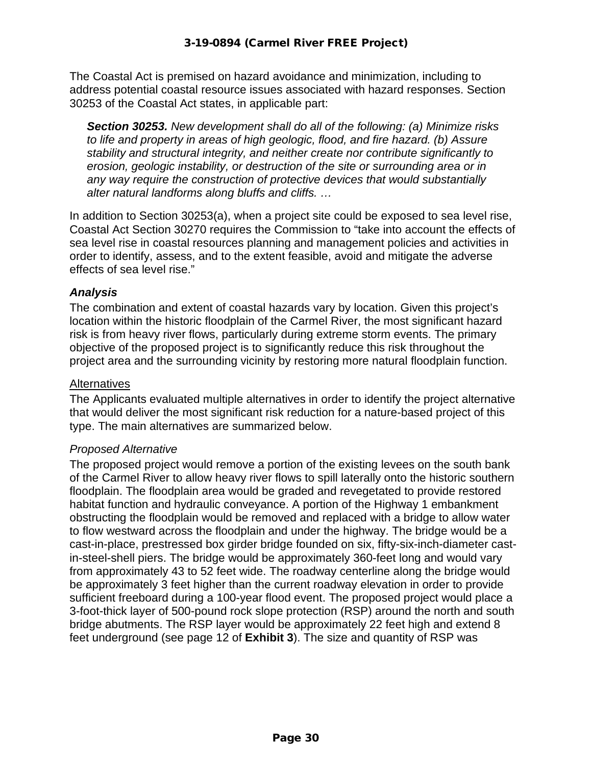The Coastal Act is premised on hazard avoidance and minimization, including to address potential coastal resource issues associated with hazard responses. Section 30253 of the Coastal Act states, in applicable part:

*Section 30253. New development shall do all of the following: (a) Minimize risks to life and property in areas of high geologic, flood, and fire hazard. (b) Assure stability and structural integrity, and neither create nor contribute significantly to erosion, geologic instability, or destruction of the site or surrounding area or in any way require the construction of protective devices that would substantially alter natural landforms along bluffs and cliffs. …* 

In addition to Section 30253(a), when a project site could be exposed to sea level rise, Coastal Act Section 30270 requires the Commission to "take into account the effects of sea level rise in coastal resources planning and management policies and activities in order to identify, assess, and to the extent feasible, avoid and mitigate the adverse effects of sea level rise."

#### *Analysis*

The combination and extent of coastal hazards vary by location. Given this project's location within the historic floodplain of the Carmel River, the most significant hazard risk is from heavy river flows, particularly during extreme storm events. The primary objective of the proposed project is to significantly reduce this risk throughout the project area and the surrounding vicinity by restoring more natural floodplain function.

#### **Alternatives**

The Applicants evaluated multiple alternatives in order to identify the project alternative that would deliver the most significant risk reduction for a nature-based project of this type. The main alternatives are summarized below.

#### *Proposed Alternative*

The proposed project would remove a portion of the existing levees on the south bank of the Carmel River to allow heavy river flows to spill laterally onto the historic southern floodplain. The floodplain area would be graded and revegetated to provide restored habitat function and hydraulic conveyance. A portion of the Highway 1 embankment obstructing the floodplain would be removed and replaced with a bridge to allow water to flow westward across the floodplain and under the highway. The bridge would be a cast-in-place, prestressed box girder bridge founded on six, fifty-six-inch-diameter castin-steel-shell piers. The bridge would be approximately 360-feet long and would vary from approximately 43 to 52 feet wide. The roadway centerline along the bridge would be approximately 3 feet higher than the current roadway elevation in order to provide sufficient freeboard during a 100-year flood event. The proposed project would place a 3-foot-thick layer of 500-pound rock slope protection (RSP) around the north and south bridge abutments. The RSP layer would be approximately 22 feet high and extend 8 feet underground (see page 12 of **Exhibit 3**). The size and quantity of RSP was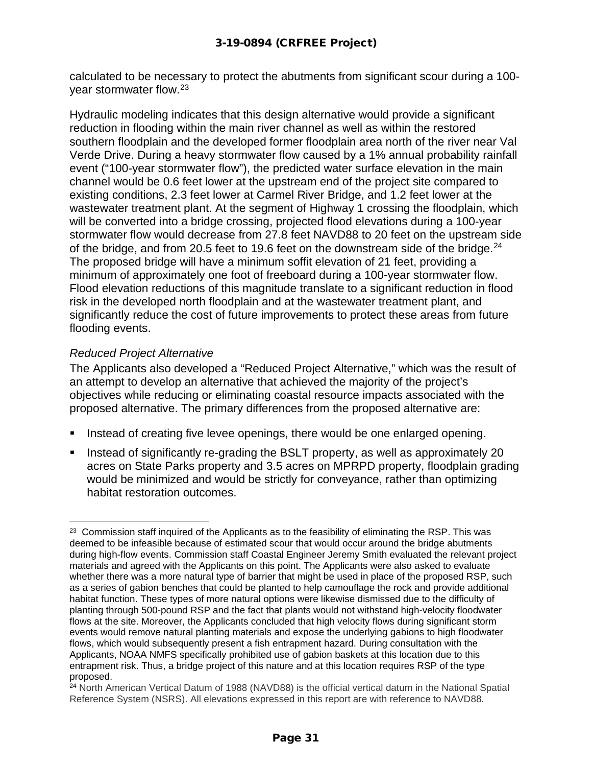calculated to be necessary to protect the abutments from significant scour during a 100 year stormwater flow.[23](#page-30-0)

Hydraulic modeling indicates that this design alternative would provide a significant reduction in flooding within the main river channel as well as within the restored southern floodplain and the developed former floodplain area north of the river near Val Verde Drive. During a heavy stormwater flow caused by a 1% annual probability rainfall event ("100-year stormwater flow"), the predicted water surface elevation in the main channel would be 0.6 feet lower at the upstream end of the project site compared to existing conditions, 2.3 feet lower at Carmel River Bridge, and 1.2 feet lower at the wastewater treatment plant. At the segment of Highway 1 crossing the floodplain, which will be converted into a bridge crossing, projected flood elevations during a 100-year stormwater flow would decrease from 27.8 feet NAVD88 to 20 feet on the upstream side of the bridge, and from 20.5 feet to 19.6 feet on the downstream side of the bridge.  $24$ The proposed bridge will have a minimum soffit elevation of 21 feet, providing a minimum of approximately one foot of freeboard during a 100-year stormwater flow. Flood elevation reductions of this magnitude translate to a significant reduction in flood risk in the developed north floodplain and at the wastewater treatment plant, and significantly reduce the cost of future improvements to protect these areas from future flooding events.

#### *Reduced Project Alternative*

The Applicants also developed a "Reduced Project Alternative," which was the result of an attempt to develop an alternative that achieved the majority of the project's objectives while reducing or eliminating coastal resource impacts associated with the proposed alternative. The primary differences from the proposed alternative are:

- Instead of creating five levee openings, there would be one enlarged opening.
- Instead of significantly re-grading the BSLT property, as well as approximately 20 acres on State Parks property and 3.5 acres on MPRPD property, floodplain grading would be minimized and would be strictly for conveyance, rather than optimizing habitat restoration outcomes.

<span id="page-30-0"></span><sup>&</sup>lt;sup>23</sup> Commission staff inquired of the Applicants as to the feasibility of eliminating the RSP. This was deemed to be infeasible because of estimated scour that would occur around the bridge abutments during high-flow events. Commission staff Coastal Engineer Jeremy Smith evaluated the relevant project materials and agreed with the Applicants on this point. The Applicants were also asked to evaluate whether there was a more natural type of barrier that might be used in place of the proposed RSP, such as a series of gabion benches that could be planted to help camouflage the rock and provide additional habitat function. These types of more natural options were likewise dismissed due to the difficulty of planting through 500-pound RSP and the fact that plants would not withstand high-velocity floodwater flows at the site. Moreover, the Applicants concluded that high velocity flows during significant storm events would remove natural planting materials and expose the underlying gabions to high floodwater flows, which would subsequently present a fish entrapment hazard. During consultation with the Applicants, NOAA NMFS specifically prohibited use of gabion baskets at this location due to this entrapment risk. Thus, a bridge project of this nature and at this location requires RSP of the type proposed.

<span id="page-30-1"></span><sup>&</sup>lt;sup>24</sup> North American Vertical Datum of 1988 (NAVD88) is the official vertical datum in the National Spatial Reference System (NSRS). All elevations expressed in this report are with reference to NAVD88.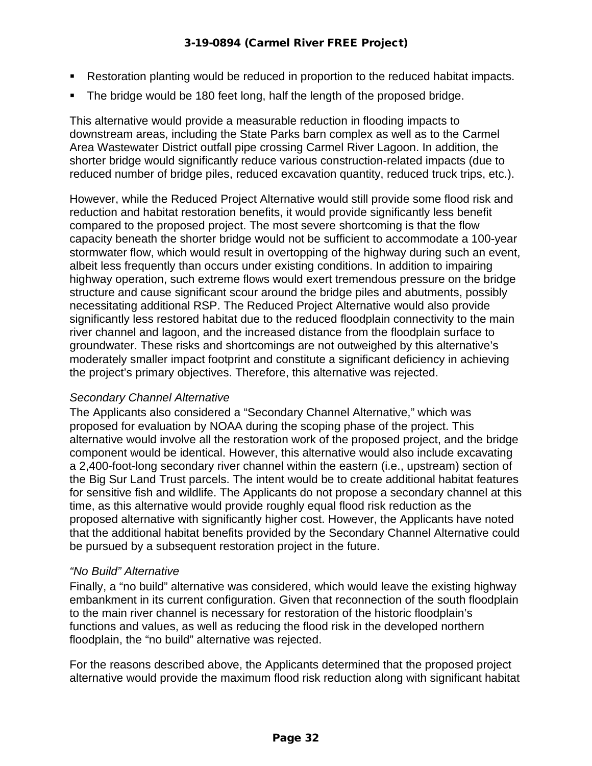- Restoration planting would be reduced in proportion to the reduced habitat impacts.
- The bridge would be 180 feet long, half the length of the proposed bridge.

This alternative would provide a measurable reduction in flooding impacts to downstream areas, including the State Parks barn complex as well as to the Carmel Area Wastewater District outfall pipe crossing Carmel River Lagoon. In addition, the shorter bridge would significantly reduce various construction-related impacts (due to reduced number of bridge piles, reduced excavation quantity, reduced truck trips, etc.).

However, while the Reduced Project Alternative would still provide some flood risk and reduction and habitat restoration benefits, it would provide significantly less benefit compared to the proposed project. The most severe shortcoming is that the flow capacity beneath the shorter bridge would not be sufficient to accommodate a 100-year stormwater flow, which would result in overtopping of the highway during such an event, albeit less frequently than occurs under existing conditions. In addition to impairing highway operation, such extreme flows would exert tremendous pressure on the bridge structure and cause significant scour around the bridge piles and abutments, possibly necessitating additional RSP. The Reduced Project Alternative would also provide significantly less restored habitat due to the reduced floodplain connectivity to the main river channel and lagoon, and the increased distance from the floodplain surface to groundwater. These risks and shortcomings are not outweighed by this alternative's moderately smaller impact footprint and constitute a significant deficiency in achieving the project's primary objectives. Therefore, this alternative was rejected.

#### *Secondary Channel Alternative*

The Applicants also considered a "Secondary Channel Alternative," which was proposed for evaluation by NOAA during the scoping phase of the project. This alternative would involve all the restoration work of the proposed project, and the bridge component would be identical. However, this alternative would also include excavating a 2,400-foot-long secondary river channel within the eastern (i.e., upstream) section of the Big Sur Land Trust parcels. The intent would be to create additional habitat features for sensitive fish and wildlife. The Applicants do not propose a secondary channel at this time, as this alternative would provide roughly equal flood risk reduction as the proposed alternative with significantly higher cost. However, the Applicants have noted that the additional habitat benefits provided by the Secondary Channel Alternative could be pursued by a subsequent restoration project in the future.

#### *"No Build" Alternative*

Finally, a "no build" alternative was considered, which would leave the existing highway embankment in its current configuration. Given that reconnection of the south floodplain to the main river channel is necessary for restoration of the historic floodplain's functions and values, as well as reducing the flood risk in the developed northern floodplain, the "no build" alternative was rejected.

For the reasons described above, the Applicants determined that the proposed project alternative would provide the maximum flood risk reduction along with significant habitat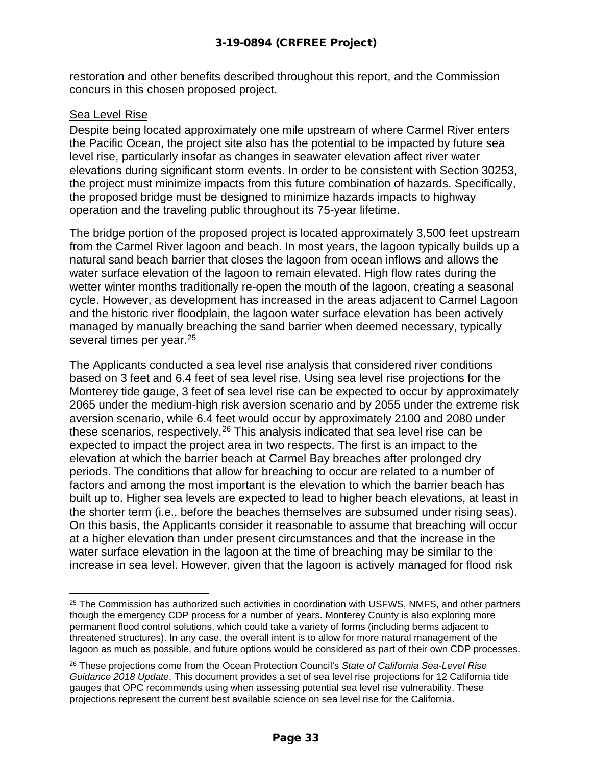restoration and other benefits described throughout this report, and the Commission concurs in this chosen proposed project.

#### Sea Level Rise

Despite being located approximately one mile upstream of where Carmel River enters the Pacific Ocean, the project site also has the potential to be impacted by future sea level rise, particularly insofar as changes in seawater elevation affect river water elevations during significant storm events. In order to be consistent with Section 30253, the project must minimize impacts from this future combination of hazards. Specifically, the proposed bridge must be designed to minimize hazards impacts to highway operation and the traveling public throughout its 75-year lifetime.

The bridge portion of the proposed project is located approximately 3,500 feet upstream from the Carmel River lagoon and beach. In most years, the lagoon typically builds up a natural sand beach barrier that closes the lagoon from ocean inflows and allows the water surface elevation of the lagoon to remain elevated. High flow rates during the wetter winter months traditionally re-open the mouth of the lagoon, creating a seasonal cycle. However, as development has increased in the areas adjacent to Carmel Lagoon and the historic river floodplain, the lagoon water surface elevation has been actively managed by manually breaching the sand barrier when deemed necessary, typically several times per year.<sup>[25](#page-32-0)</sup>

The Applicants conducted a sea level rise analysis that considered river conditions based on 3 feet and 6.4 feet of sea level rise. Using sea level rise projections for the Monterey tide gauge, 3 feet of sea level rise can be expected to occur by approximately 2065 under the medium-high risk aversion scenario and by 2055 under the extreme risk aversion scenario, while 6.4 feet would occur by approximately 2100 and 2080 under these scenarios, respectively.<sup>[26](#page-32-1)</sup> This analysis indicated that sea level rise can be expected to impact the project area in two respects. The first is an impact to the elevation at which the barrier beach at Carmel Bay breaches after prolonged dry periods. The conditions that allow for breaching to occur are related to a number of factors and among the most important is the elevation to which the barrier beach has built up to. Higher sea levels are expected to lead to higher beach elevations, at least in the shorter term (i.e., before the beaches themselves are subsumed under rising seas). On this basis, the Applicants consider it reasonable to assume that breaching will occur at a higher elevation than under present circumstances and that the increase in the water surface elevation in the lagoon at the time of breaching may be similar to the increase in sea level. However, given that the lagoon is actively managed for flood risk

<span id="page-32-0"></span><sup>&</sup>lt;sup>25</sup> The Commission has authorized such activities in coordination with USFWS, NMFS, and other partners though the emergency CDP process for a number of years. Monterey County is also exploring more permanent flood control solutions, which could take a variety of forms (including berms adjacent to threatened structures). In any case, the overall intent is to allow for more natural management of the lagoon as much as possible, and future options would be considered as part of their own CDP processes.

<span id="page-32-1"></span><sup>26</sup> These projections come from the Ocean Protection Council's *State of California Sea-Level Rise Guidance 2018 Update*. This document provides a set of sea level rise projections for 12 California tide gauges that OPC recommends using when assessing potential sea level rise vulnerability. These projections represent the current best available science on sea level rise for the California.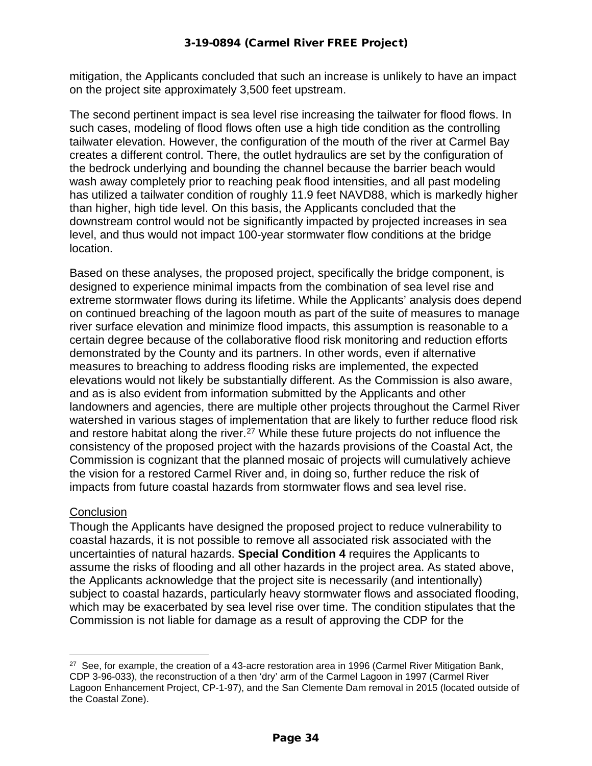mitigation, the Applicants concluded that such an increase is unlikely to have an impact on the project site approximately 3,500 feet upstream.

The second pertinent impact is sea level rise increasing the tailwater for flood flows. In such cases, modeling of flood flows often use a high tide condition as the controlling tailwater elevation. However, the configuration of the mouth of the river at Carmel Bay creates a different control. There, the outlet hydraulics are set by the configuration of the bedrock underlying and bounding the channel because the barrier beach would wash away completely prior to reaching peak flood intensities, and all past modeling has utilized a tailwater condition of roughly 11.9 feet NAVD88, which is markedly higher than higher, high tide level. On this basis, the Applicants concluded that the downstream control would not be significantly impacted by projected increases in sea level, and thus would not impact 100-year stormwater flow conditions at the bridge location.

Based on these analyses, the proposed project, specifically the bridge component, is designed to experience minimal impacts from the combination of sea level rise and extreme stormwater flows during its lifetime. While the Applicants' analysis does depend on continued breaching of the lagoon mouth as part of the suite of measures to manage river surface elevation and minimize flood impacts, this assumption is reasonable to a certain degree because of the collaborative flood risk monitoring and reduction efforts demonstrated by the County and its partners. In other words, even if alternative measures to breaching to address flooding risks are implemented, the expected elevations would not likely be substantially different. As the Commission is also aware, and as is also evident from information submitted by the Applicants and other landowners and agencies, there are multiple other projects throughout the Carmel River watershed in various stages of implementation that are likely to further reduce flood risk and restore habitat along the river.<sup>[27](#page-33-0)</sup> While these future projects do not influence the consistency of the proposed project with the hazards provisions of the Coastal Act, the Commission is cognizant that the planned mosaic of projects will cumulatively achieve the vision for a restored Carmel River and, in doing so, further reduce the risk of impacts from future coastal hazards from stormwater flows and sea level rise.

#### **Conclusion**

Though the Applicants have designed the proposed project to reduce vulnerability to coastal hazards, it is not possible to remove all associated risk associated with the uncertainties of natural hazards. **Special Condition 4** requires the Applicants to assume the risks of flooding and all other hazards in the project area. As stated above, the Applicants acknowledge that the project site is necessarily (and intentionally) subject to coastal hazards, particularly heavy stormwater flows and associated flooding, which may be exacerbated by sea level rise over time. The condition stipulates that the Commission is not liable for damage as a result of approving the CDP for the

<span id="page-33-0"></span><sup>&</sup>lt;sup>27</sup> See, for example, the creation of a 43-acre restoration area in 1996 (Carmel River Mitigation Bank, CDP 3-96-033), the reconstruction of a then 'dry' arm of the Carmel Lagoon in 1997 (Carmel River Lagoon Enhancement Project, CP-1-97), and the San Clemente Dam removal in 2015 (located outside of the Coastal Zone).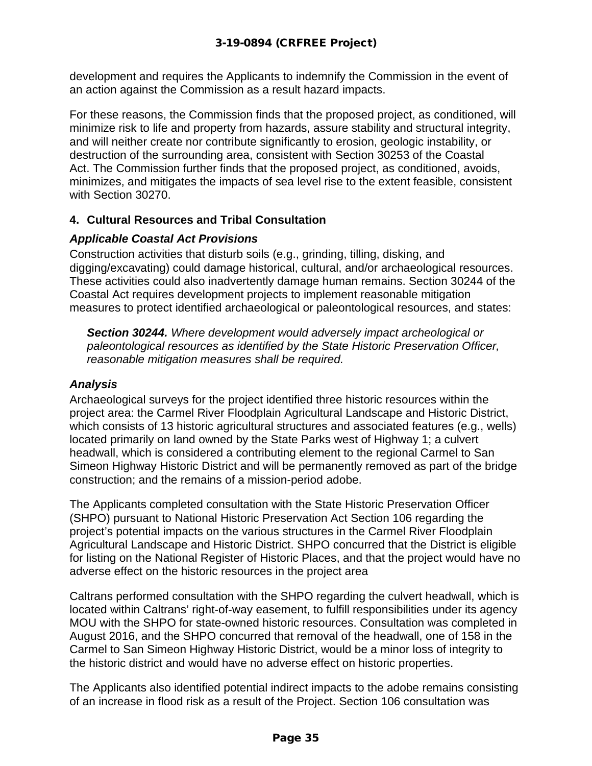development and requires the Applicants to indemnify the Commission in the event of an action against the Commission as a result hazard impacts.

For these reasons, the Commission finds that the proposed project, as conditioned, will minimize risk to life and property from hazards, assure stability and structural integrity, and will neither create nor contribute significantly to erosion, geologic instability, or destruction of the surrounding area, consistent with Section 30253 of the Coastal Act. The Commission further finds that the proposed project, as conditioned, avoids, minimizes, and mitigates the impacts of sea level rise to the extent feasible, consistent with Section 30270.

#### **4. Cultural Resources and Tribal Consultation**

#### *Applicable Coastal Act Provisions*

Construction activities that disturb soils (e.g., grinding, tilling, disking, and digging/excavating) could damage historical, cultural, and/or archaeological resources. These activities could also inadvertently damage human remains. Section 30244 of the Coastal Act requires development projects to implement reasonable mitigation measures to protect identified archaeological or paleontological resources, and states:

*Section 30244. Where development would adversely impact archeological or paleontological resources as identified by the State Historic Preservation Officer, reasonable mitigation measures shall be required.*

#### *Analysis*

Archaeological surveys for the project identified three historic resources within the project area: the Carmel River Floodplain Agricultural Landscape and Historic District, which consists of 13 historic agricultural structures and associated features (e.g., wells) located primarily on land owned by the State Parks west of Highway 1; a culvert headwall, which is considered a contributing element to the regional Carmel to San Simeon Highway Historic District and will be permanently removed as part of the bridge construction; and the remains of a mission-period adobe.

The Applicants completed consultation with the State Historic Preservation Officer (SHPO) pursuant to National Historic Preservation Act Section 106 regarding the project's potential impacts on the various structures in the Carmel River Floodplain Agricultural Landscape and Historic District. SHPO concurred that the District is eligible for listing on the National Register of Historic Places, and that the project would have no adverse effect on the historic resources in the project area

Caltrans performed consultation with the SHPO regarding the culvert headwall, which is located within Caltrans' right-of-way easement, to fulfill responsibilities under its agency MOU with the SHPO for state-owned historic resources. Consultation was completed in August 2016, and the SHPO concurred that removal of the headwall, one of 158 in the Carmel to San Simeon Highway Historic District, would be a minor loss of integrity to the historic district and would have no adverse effect on historic properties.

The Applicants also identified potential indirect impacts to the adobe remains consisting of an increase in flood risk as a result of the Project. Section 106 consultation was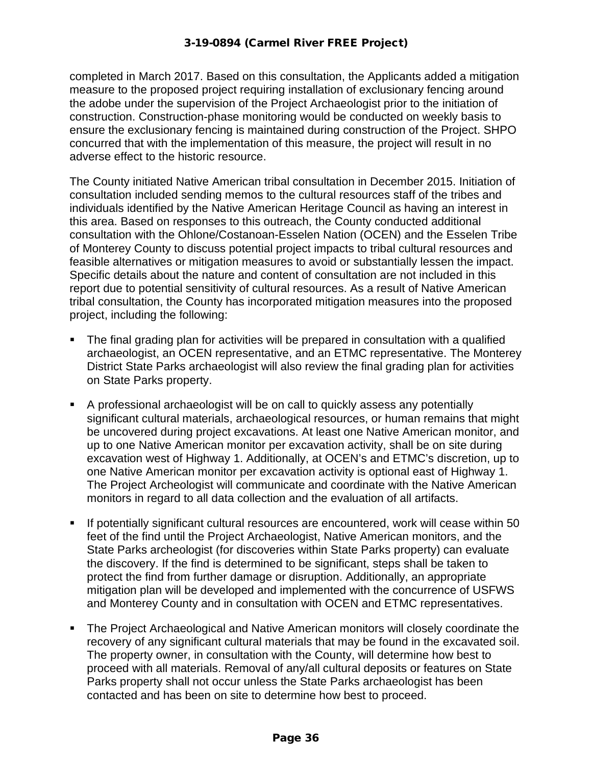completed in March 2017. Based on this consultation, the Applicants added a mitigation measure to the proposed project requiring installation of exclusionary fencing around the adobe under the supervision of the Project Archaeologist prior to the initiation of construction. Construction-phase monitoring would be conducted on weekly basis to ensure the exclusionary fencing is maintained during construction of the Project. SHPO concurred that with the implementation of this measure, the project will result in no adverse effect to the historic resource.

The County initiated Native American tribal consultation in December 2015. Initiation of consultation included sending memos to the cultural resources staff of the tribes and individuals identified by the Native American Heritage Council as having an interest in this area. Based on responses to this outreach, the County conducted additional consultation with the Ohlone/Costanoan-Esselen Nation (OCEN) and the Esselen Tribe of Monterey County to discuss potential project impacts to tribal cultural resources and feasible alternatives or mitigation measures to avoid or substantially lessen the impact. Specific details about the nature and content of consultation are not included in this report due to potential sensitivity of cultural resources. As a result of Native American tribal consultation, the County has incorporated mitigation measures into the proposed project, including the following:

- The final grading plan for activities will be prepared in consultation with a qualified archaeologist, an OCEN representative, and an ETMC representative. The Monterey District State Parks archaeologist will also review the final grading plan for activities on State Parks property.
- A professional archaeologist will be on call to quickly assess any potentially significant cultural materials, archaeological resources, or human remains that might be uncovered during project excavations. At least one Native American monitor, and up to one Native American monitor per excavation activity, shall be on site during excavation west of Highway 1. Additionally, at OCEN's and ETMC's discretion, up to one Native American monitor per excavation activity is optional east of Highway 1. The Project Archeologist will communicate and coordinate with the Native American monitors in regard to all data collection and the evaluation of all artifacts.
- If potentially significant cultural resources are encountered, work will cease within 50 feet of the find until the Project Archaeologist, Native American monitors, and the State Parks archeologist (for discoveries within State Parks property) can evaluate the discovery. If the find is determined to be significant, steps shall be taken to protect the find from further damage or disruption. Additionally, an appropriate mitigation plan will be developed and implemented with the concurrence of USFWS and Monterey County and in consultation with OCEN and ETMC representatives.
- The Project Archaeological and Native American monitors will closely coordinate the recovery of any significant cultural materials that may be found in the excavated soil. The property owner, in consultation with the County, will determine how best to proceed with all materials. Removal of any/all cultural deposits or features on State Parks property shall not occur unless the State Parks archaeologist has been contacted and has been on site to determine how best to proceed.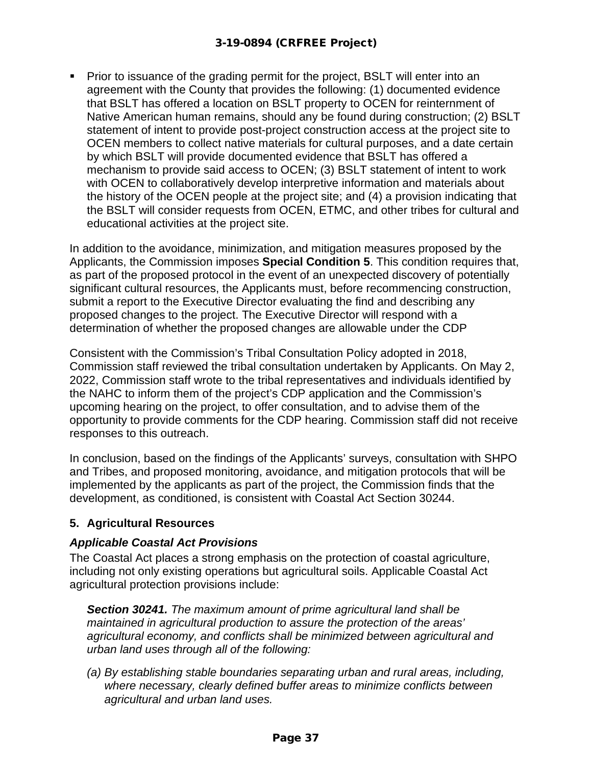Prior to issuance of the grading permit for the project, BSLT will enter into an agreement with the County that provides the following: (1) documented evidence that BSLT has offered a location on BSLT property to OCEN for reinternment of Native American human remains, should any be found during construction; (2) BSLT statement of intent to provide post-project construction access at the project site to OCEN members to collect native materials for cultural purposes, and a date certain by which BSLT will provide documented evidence that BSLT has offered a mechanism to provide said access to OCEN; (3) BSLT statement of intent to work with OCEN to collaboratively develop interpretive information and materials about the history of the OCEN people at the project site; and (4) a provision indicating that the BSLT will consider requests from OCEN, ETMC, and other tribes for cultural and educational activities at the project site.

In addition to the avoidance, minimization, and mitigation measures proposed by the Applicants, the Commission imposes **Special Condition 5**. This condition requires that, as part of the proposed protocol in the event of an unexpected discovery of potentially significant cultural resources, the Applicants must, before recommencing construction, submit a report to the Executive Director evaluating the find and describing any proposed changes to the project. The Executive Director will respond with a determination of whether the proposed changes are allowable under the CDP

Consistent with the Commission's Tribal Consultation Policy adopted in 2018, Commission staff reviewed the tribal consultation undertaken by Applicants. On May 2, 2022, Commission staff wrote to the tribal representatives and individuals identified by the NAHC to inform them of the project's CDP application and the Commission's upcoming hearing on the project, to offer consultation, and to advise them of the opportunity to provide comments for the CDP hearing. Commission staff did not receive responses to this outreach.

In conclusion, based on the findings of the Applicants' surveys, consultation with SHPO and Tribes, and proposed monitoring, avoidance, and mitigation protocols that will be implemented by the applicants as part of the project, the Commission finds that the development, as conditioned, is consistent with Coastal Act Section 30244.

# **5. Agricultural Resources**

# *Applicable Coastal Act Provisions*

The Coastal Act places a strong emphasis on the protection of coastal agriculture, including not only existing operations but agricultural soils. Applicable Coastal Act agricultural protection provisions include:

*Section 30241. The maximum amount of prime agricultural land shall be maintained in agricultural production to assure the protection of the areas' agricultural economy, and conflicts shall be minimized between agricultural and urban land uses through all of the following:*

*(a) By establishing stable boundaries separating urban and rural areas, including, where necessary, clearly defined buffer areas to minimize conflicts between agricultural and urban land uses.*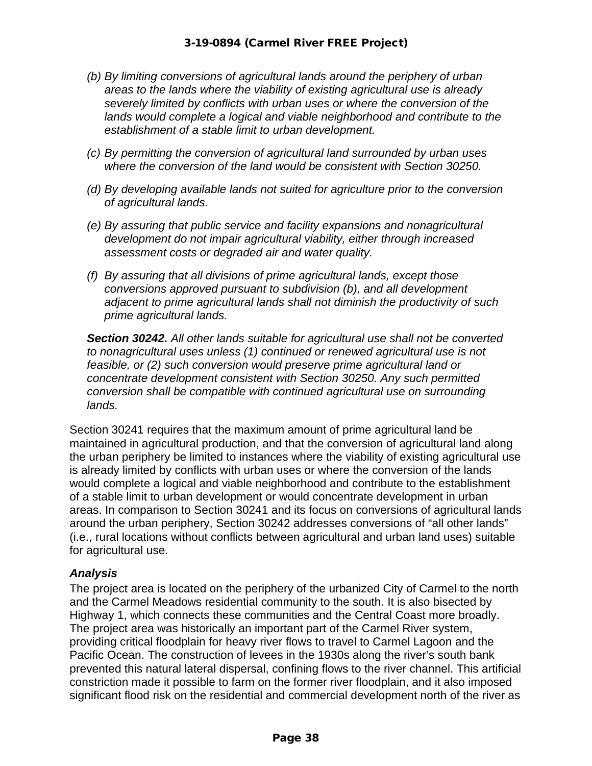- *(b) By limiting conversions of agricultural lands around the periphery of urban areas to the lands where the viability of existing agricultural use is already severely limited by conflicts with urban uses or where the conversion of the lands would complete a logical and viable neighborhood and contribute to the establishment of a stable limit to urban development.*
- *(c) By permitting the conversion of agricultural land surrounded by urban uses where the conversion of the land would be consistent with Section 30250.*
- *(d) By developing available lands not suited for agriculture prior to the conversion of agricultural lands.*
- *(e) By assuring that public service and facility expansions and nonagricultural development do not impair agricultural viability, either through increased assessment costs or degraded air and water quality.*
- *(f) By assuring that all divisions of prime agricultural lands, except those conversions approved pursuant to subdivision (b), and all development adjacent to prime agricultural lands shall not diminish the productivity of such prime agricultural lands.*

*Section 30242. All other lands suitable for agricultural use shall not be converted to nonagricultural uses unless (1) continued or renewed agricultural use is not feasible, or (2) such conversion would preserve prime agricultural land or concentrate development consistent with Section 30250. Any such permitted conversion shall be compatible with continued agricultural use on surrounding lands.* 

Section 30241 requires that the maximum amount of prime agricultural land be maintained in agricultural production, and that the conversion of agricultural land along the urban periphery be limited to instances where the viability of existing agricultural use is already limited by conflicts with urban uses or where the conversion of the lands would complete a logical and viable neighborhood and contribute to the establishment of a stable limit to urban development or would concentrate development in urban areas. In comparison to Section 30241 and its focus on conversions of agricultural lands around the urban periphery, Section 30242 addresses conversions of "all other lands" (i.e., rural locations without conflicts between agricultural and urban land uses) suitable for agricultural use.

#### *Analysis*

The project area is located on the periphery of the urbanized City of Carmel to the north and the Carmel Meadows residential community to the south. It is also bisected by Highway 1, which connects these communities and the Central Coast more broadly. The project area was historically an important part of the Carmel River system, providing critical floodplain for heavy river flows to travel to Carmel Lagoon and the Pacific Ocean. The construction of levees in the 1930s along the river's south bank prevented this natural lateral dispersal, confining flows to the river channel. This artificial constriction made it possible to farm on the former river floodplain, and it also imposed significant flood risk on the residential and commercial development north of the river as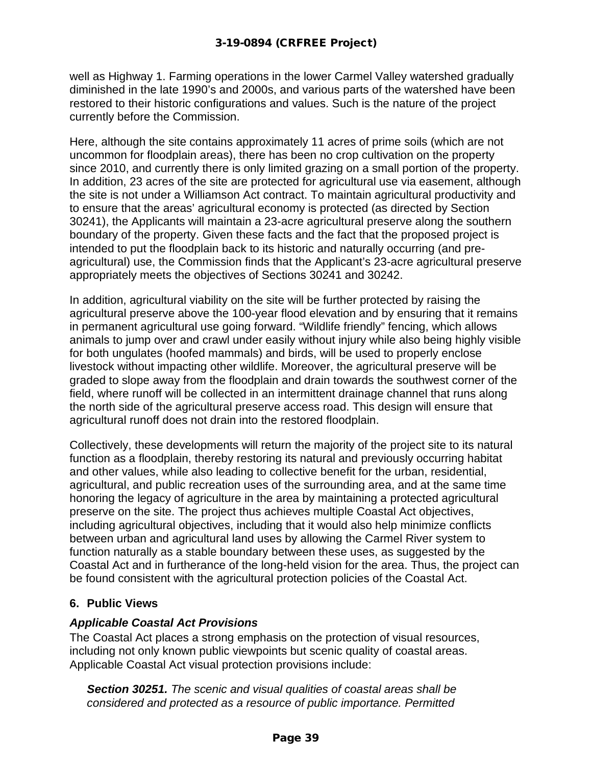well as Highway 1. Farming operations in the lower Carmel Valley watershed gradually diminished in the late 1990's and 2000s, and various parts of the watershed have been restored to their historic configurations and values. Such is the nature of the project currently before the Commission.

Here, although the site contains approximately 11 acres of prime soils (which are not uncommon for floodplain areas), there has been no crop cultivation on the property since 2010, and currently there is only limited grazing on a small portion of the property. In addition, 23 acres of the site are protected for agricultural use via easement, although the site is not under a Williamson Act contract. To maintain agricultural productivity and to ensure that the areas' agricultural economy is protected (as directed by Section 30241), the Applicants will maintain a 23-acre agricultural preserve along the southern boundary of the property. Given these facts and the fact that the proposed project is intended to put the floodplain back to its historic and naturally occurring (and preagricultural) use, the Commission finds that the Applicant's 23-acre agricultural preserve appropriately meets the objectives of Sections 30241 and 30242.

In addition, agricultural viability on the site will be further protected by raising the agricultural preserve above the 100-year flood elevation and by ensuring that it remains in permanent agricultural use going forward. "Wildlife friendly" fencing, which allows animals to jump over and crawl under easily without injury while also being highly visible for both ungulates (hoofed mammals) and birds, will be used to properly enclose livestock without impacting other wildlife. Moreover, the agricultural preserve will be graded to slope away from the floodplain and drain towards the southwest corner of the field, where runoff will be collected in an intermittent drainage channel that runs along the north side of the agricultural preserve access road. This design will ensure that agricultural runoff does not drain into the restored floodplain.

Collectively, these developments will return the majority of the project site to its natural function as a floodplain, thereby restoring its natural and previously occurring habitat and other values, while also leading to collective benefit for the urban, residential, agricultural, and public recreation uses of the surrounding area, and at the same time honoring the legacy of agriculture in the area by maintaining a protected agricultural preserve on the site. The project thus achieves multiple Coastal Act objectives, including agricultural objectives, including that it would also help minimize conflicts between urban and agricultural land uses by allowing the Carmel River system to function naturally as a stable boundary between these uses, as suggested by the Coastal Act and in furtherance of the long-held vision for the area. Thus, the project can be found consistent with the agricultural protection policies of the Coastal Act.

# **6. Public Views**

#### *Applicable Coastal Act Provisions*

The Coastal Act places a strong emphasis on the protection of visual resources, including not only known public viewpoints but scenic quality of coastal areas. Applicable Coastal Act visual protection provisions include:

*Section 30251. The scenic and visual qualities of coastal areas shall be considered and protected as a resource of public importance. Permitted*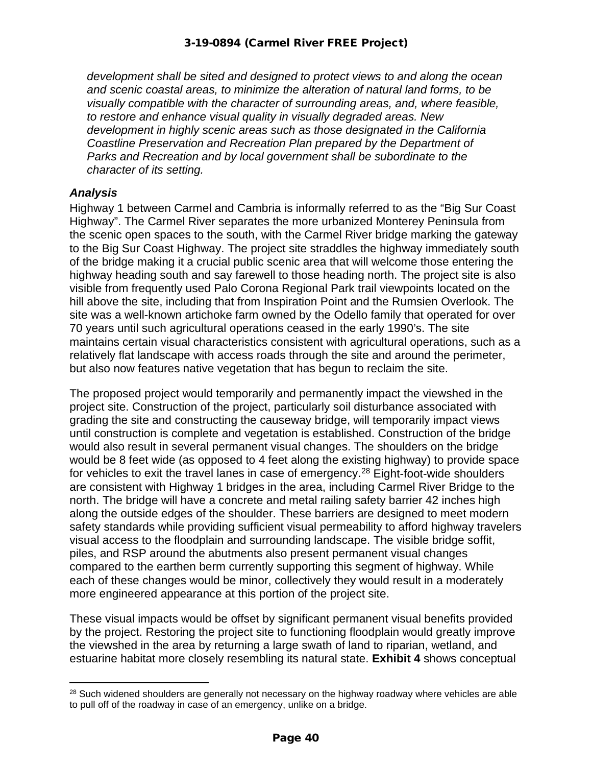*development shall be sited and designed to protect views to and along the ocean and scenic coastal areas, to minimize the alteration of natural land forms, to be visually compatible with the character of surrounding areas, and, where feasible, to restore and enhance visual quality in visually degraded areas. New development in highly scenic areas such as those designated in the California Coastline Preservation and Recreation Plan prepared by the Department of Parks and Recreation and by local government shall be subordinate to the character of its setting.*

#### *Analysis*

Highway 1 between Carmel and Cambria is informally referred to as the "Big Sur Coast Highway". The Carmel River separates the more urbanized Monterey Peninsula from the scenic open spaces to the south, with the Carmel River bridge marking the gateway to the Big Sur Coast Highway. The project site straddles the highway immediately south of the bridge making it a crucial public scenic area that will welcome those entering the highway heading south and say farewell to those heading north. The project site is also visible from frequently used Palo Corona Regional Park trail viewpoints located on the hill above the site, including that from Inspiration Point and the Rumsien Overlook. The site was a well-known artichoke farm owned by the Odello family that operated for over 70 years until such agricultural operations ceased in the early 1990's. The site maintains certain visual characteristics consistent with agricultural operations, such as a relatively flat landscape with access roads through the site and around the perimeter, but also now features native vegetation that has begun to reclaim the site.

The proposed project would temporarily and permanently impact the viewshed in the project site. Construction of the project, particularly soil disturbance associated with grading the site and constructing the causeway bridge, will temporarily impact views until construction is complete and vegetation is established. Construction of the bridge would also result in several permanent visual changes. The shoulders on the bridge would be 8 feet wide (as opposed to 4 feet along the existing highway) to provide space for vehicles to exit the travel lanes in case of emergency.<sup>[28](#page-39-0)</sup> Eight-foot-wide shoulders are consistent with Highway 1 bridges in the area, including Carmel River Bridge to the north. The bridge will have a concrete and metal railing safety barrier 42 inches high along the outside edges of the shoulder. These barriers are designed to meet modern safety standards while providing sufficient visual permeability to afford highway travelers visual access to the floodplain and surrounding landscape. The visible bridge soffit, piles, and RSP around the abutments also present permanent visual changes compared to the earthen berm currently supporting this segment of highway. While each of these changes would be minor, collectively they would result in a moderately more engineered appearance at this portion of the project site.

These visual impacts would be offset by significant permanent visual benefits provided by the project. Restoring the project site to functioning floodplain would greatly improve the viewshed in the area by returning a large swath of land to riparian, wetland, and estuarine habitat more closely resembling its natural state. **Exhibit 4** shows conceptual

<span id="page-39-0"></span><sup>&</sup>lt;sup>28</sup> Such widened shoulders are generally not necessary on the highway roadway where vehicles are able to pull off of the roadway in case of an emergency, unlike on a bridge.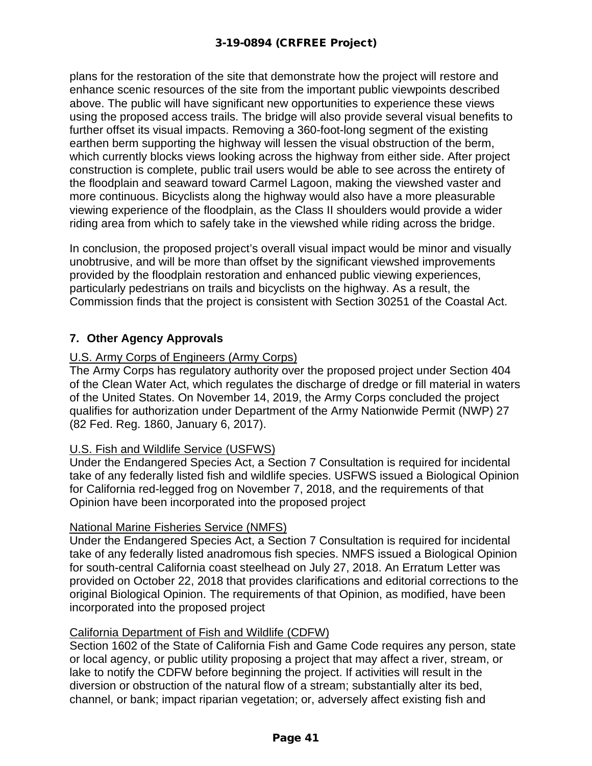plans for the restoration of the site that demonstrate how the project will restore and enhance scenic resources of the site from the important public viewpoints described above. The public will have significant new opportunities to experience these views using the proposed access trails. The bridge will also provide several visual benefits to further offset its visual impacts. Removing a 360-foot-long segment of the existing earthen berm supporting the highway will lessen the visual obstruction of the berm, which currently blocks views looking across the highway from either side. After project construction is complete, public trail users would be able to see across the entirety of the floodplain and seaward toward Carmel Lagoon, making the viewshed vaster and more continuous. Bicyclists along the highway would also have a more pleasurable viewing experience of the floodplain, as the Class II shoulders would provide a wider riding area from which to safely take in the viewshed while riding across the bridge.

In conclusion, the proposed project's overall visual impact would be minor and visually unobtrusive, and will be more than offset by the significant viewshed improvements provided by the floodplain restoration and enhanced public viewing experiences, particularly pedestrians on trails and bicyclists on the highway. As a result, the Commission finds that the project is consistent with Section 30251 of the Coastal Act.

# **7. Other Agency Approvals**

# U.S. Army Corps of Engineers (Army Corps)

The Army Corps has regulatory authority over the proposed project under Section 404 of the Clean Water Act, which regulates the discharge of dredge or fill material in waters of the United States. On November 14, 2019, the Army Corps concluded the project qualifies for authorization under Department of the Army Nationwide Permit (NWP) 27 (82 Fed. Reg. 1860, January 6, 2017).

# U.S. Fish and Wildlife Service (USFWS)

Under the Endangered Species Act, a Section 7 Consultation is required for incidental take of any federally listed fish and wildlife species. USFWS issued a Biological Opinion for California red-legged frog on November 7, 2018, and the requirements of that Opinion have been incorporated into the proposed project

# National Marine Fisheries Service (NMFS)

Under the Endangered Species Act, a Section 7 Consultation is required for incidental take of any federally listed anadromous fish species. NMFS issued a Biological Opinion for south-central California coast steelhead on July 27, 2018. An Erratum Letter was provided on October 22, 2018 that provides clarifications and editorial corrections to the original Biological Opinion. The requirements of that Opinion, as modified, have been incorporated into the proposed project

# California Department of Fish and Wildlife (CDFW)

Section 1602 of the State of California Fish and Game Code requires any person, state or local agency, or public utility proposing a project that may affect a river, stream, or lake to notify the CDFW before beginning the project. If activities will result in the diversion or obstruction of the natural flow of a stream; substantially alter its bed, channel, or bank; impact riparian vegetation; or, adversely affect existing fish and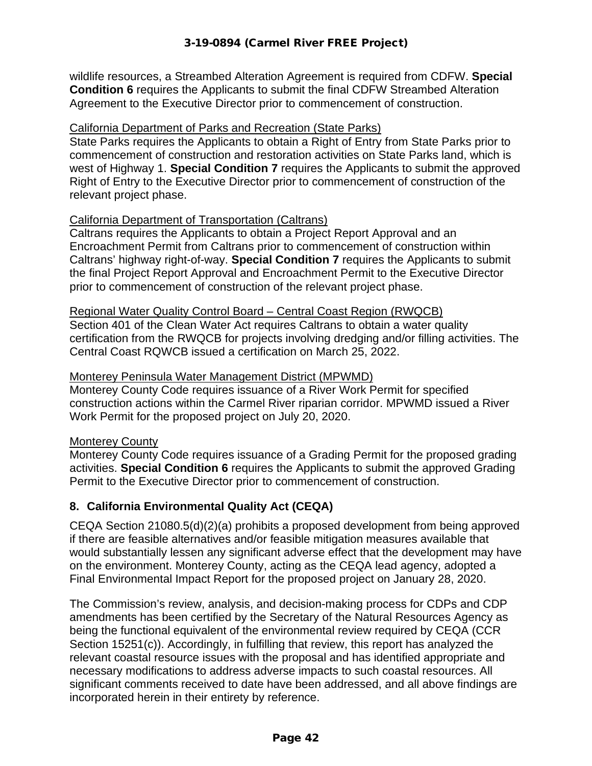wildlife resources, a Streambed Alteration Agreement is required from CDFW. **Special Condition 6** requires the Applicants to submit the final CDFW Streambed Alteration Agreement to the Executive Director prior to commencement of construction.

### California Department of Parks and Recreation (State Parks)

State Parks requires the Applicants to obtain a Right of Entry from State Parks prior to commencement of construction and restoration activities on State Parks land, which is west of Highway 1. **Special Condition 7** requires the Applicants to submit the approved Right of Entry to the Executive Director prior to commencement of construction of the relevant project phase.

#### California Department of Transportation (Caltrans)

Caltrans requires the Applicants to obtain a Project Report Approval and an Encroachment Permit from Caltrans prior to commencement of construction within Caltrans' highway right-of-way. **Special Condition 7** requires the Applicants to submit the final Project Report Approval and Encroachment Permit to the Executive Director prior to commencement of construction of the relevant project phase.

#### Regional Water Quality Control Board – Central Coast Region (RWQCB)

Section 401 of the Clean Water Act requires Caltrans to obtain a water quality certification from the RWQCB for projects involving dredging and/or filling activities. The Central Coast RQWCB issued a certification on March 25, 2022.

#### Monterey Peninsula Water Management District (MPWMD)

Monterey County Code requires issuance of a River Work Permit for specified construction actions within the Carmel River riparian corridor. MPWMD issued a River Work Permit for the proposed project on July 20, 2020.

#### Monterey County

Monterey County Code requires issuance of a Grading Permit for the proposed grading activities. **Special Condition 6** requires the Applicants to submit the approved Grading Permit to the Executive Director prior to commencement of construction.

# **8. California Environmental Quality Act (CEQA)**

CEQA Section 21080.5(d)(2)(a) prohibits a proposed development from being approved if there are feasible alternatives and/or feasible mitigation measures available that would substantially lessen any significant adverse effect that the development may have on the environment. Monterey County, acting as the CEQA lead agency, adopted a Final Environmental Impact Report for the proposed project on January 28, 2020.

The Commission's review, analysis, and decision-making process for CDPs and CDP amendments has been certified by the Secretary of the Natural Resources Agency as being the functional equivalent of the environmental review required by CEQA (CCR Section 15251(c)). Accordingly, in fulfilling that review, this report has analyzed the relevant coastal resource issues with the proposal and has identified appropriate and necessary modifications to address adverse impacts to such coastal resources. All significant comments received to date have been addressed, and all above findings are incorporated herein in their entirety by reference.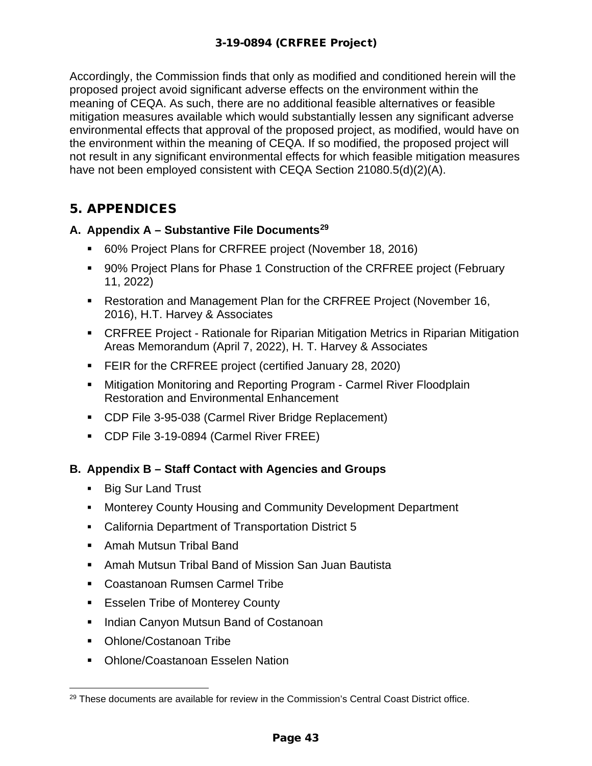Accordingly, the Commission finds that only as modified and conditioned herein will the proposed project avoid significant adverse effects on the environment within the meaning of CEQA. As such, there are no additional feasible alternatives or feasible mitigation measures available which would substantially lessen any significant adverse environmental effects that approval of the proposed project, as modified, would have on the environment within the meaning of CEQA. If so modified, the proposed project will not result in any significant environmental effects for which feasible mitigation measures have not been employed consistent with CEQA Section 21080.5(d)(2)(A).

# 5. APPENDICES

# **A. Appendix A – Substantive File Documents[29](#page-42-0)**

- 60% Project Plans for CRFREE project (November 18, 2016)
- 90% Project Plans for Phase 1 Construction of the CRFREE project (February 11, 2022)
- **Restoration and Management Plan for the CRFREE Project (November 16,** 2016), H.T. Harvey & Associates
- CRFREE Project Rationale for Riparian Mitigation Metrics in Riparian Mitigation Areas Memorandum (April 7, 2022), H. T. Harvey & Associates
- **FEIR for the CRFREE project (certified January 28, 2020)**
- **EXTENDITION Monitoring and Reporting Program Carmel River Floodplain** Restoration and Environmental Enhancement
- CDP File 3-95-038 (Carmel River Bridge Replacement)
- CDP File 3-19-0894 (Carmel River FREE)

# **B. Appendix B – Staff Contact with Agencies and Groups**

- **Big Sur Land Trust**
- Monterey County Housing and Community Development Department
- California Department of Transportation District 5
- **Amah Mutsun Tribal Band**
- Amah Mutsun Tribal Band of Mission San Juan Bautista
- Coastanoan Rumsen Carmel Tribe
- Esselen Tribe of Monterey County
- **Indian Canyon Mutsun Band of Costanoan**
- Ohlone/Costanoan Tribe
- Ohlone/Coastanoan Esselen Nation

<span id="page-42-0"></span> $29$  These documents are available for review in the Commission's Central Coast District office.